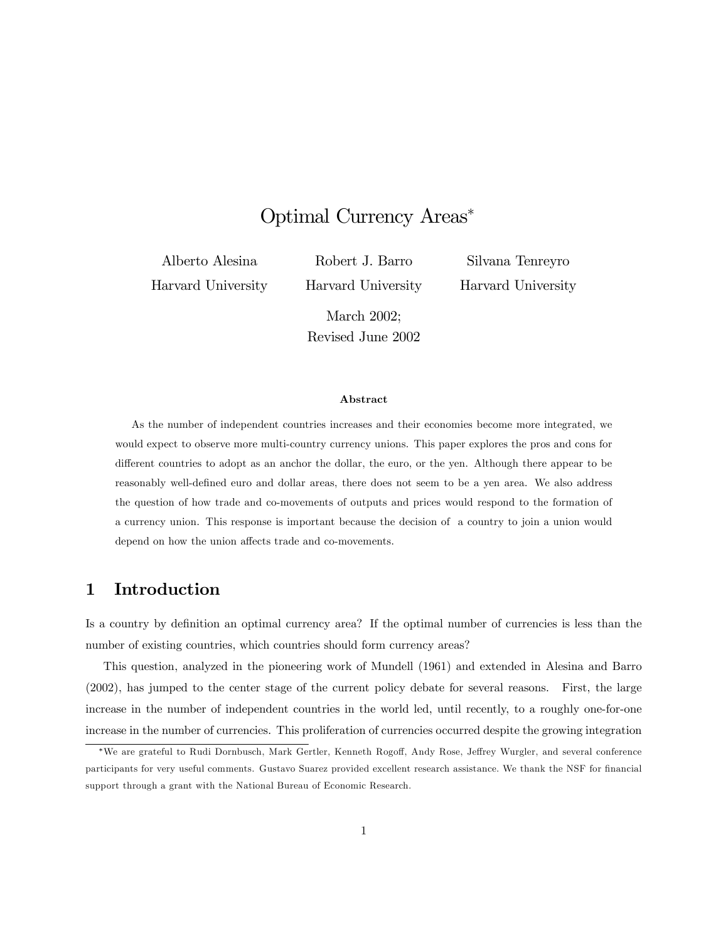# Optimal Currency Areas<sup>∗</sup>

Alberto Alesina Harvard University

Robert J. Barro Harvard University

Silvana Tenreyro Harvard University

March 2002; Revised June 2002

#### Abstract

As the number of independent countries increases and their economies become more integrated, we would expect to observe more multi-country currency unions. This paper explores the pros and cons for different countries to adopt as an anchor the dollar, the euro, or the yen. Although there appear to be reasonably well-defined euro and dollar areas, there does not seem to be a yen area. We also address the question of how trade and co-movements of outputs and prices would respond to the formation of a currency union. This response is important because the decision of a country to join a union would depend on how the union affects trade and co-movements.

# 1 Introduction

Is a country by definition an optimal currency area? If the optimal number of currencies is less than the number of existing countries, which countries should form currency areas?

This question, analyzed in the pioneering work of Mundell (1961) and extended in Alesina and Barro (2002), has jumped to the center stage of the current policy debate for several reasons. First, the large increase in the number of independent countries in the world led, until recently, to a roughly one-for-one increase in the number of currencies. This proliferation of currencies occurred despite the growing integration

<sup>∗</sup>We are grateful to Rudi Dornbusch, Mark Gertler, Kenneth Rogoff, Andy Rose, Jeffrey Wurgler, and several conference participants for very useful comments. Gustavo Suarez provided excellent research assistance. We thank the NSF for financial support through a grant with the National Bureau of Economic Research.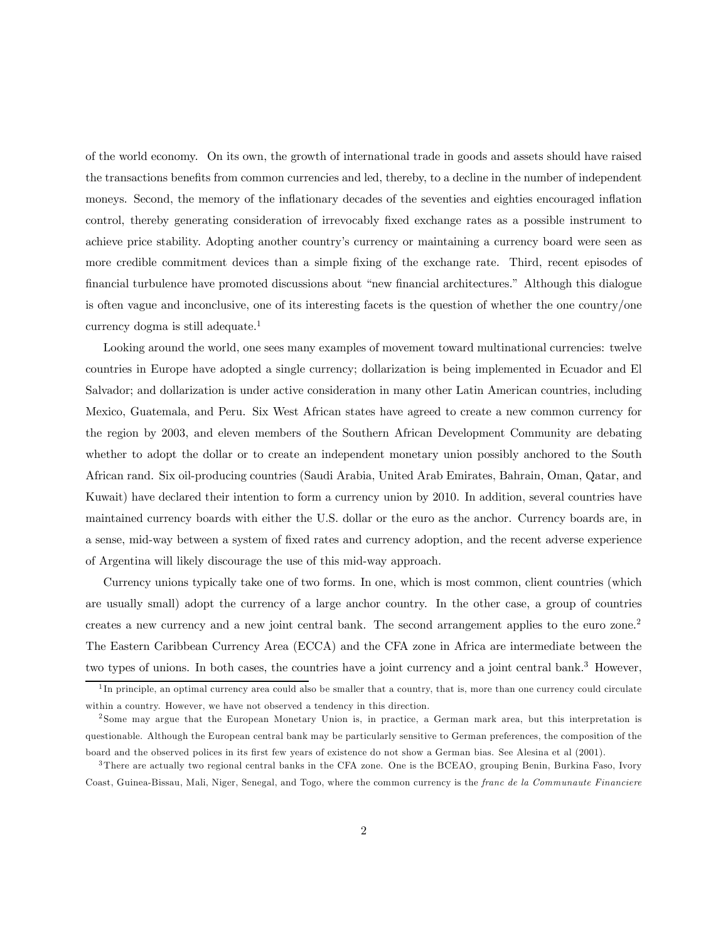of the world economy. On its own, the growth of international trade in goods and assets should have raised the transactions benefits from common currencies and led, thereby, to a decline in the number of independent moneys. Second, the memory of the inflationary decades of the seventies and eighties encouraged inflation control, thereby generating consideration of irrevocably fixed exchange rates as a possible instrument to achieve price stability. Adopting another country's currency or maintaining a currency board were seen as more credible commitment devices than a simple fixing of the exchange rate. Third, recent episodes of financial turbulence have promoted discussions about "new financial architectures." Although this dialogue is often vague and inconclusive, one of its interesting facets is the question of whether the one country/one currency dogma is still adequate.<sup>1</sup>

Looking around the world, one sees many examples of movement toward multinational currencies: twelve countries in Europe have adopted a single currency; dollarization is being implemented in Ecuador and El Salvador; and dollarization is under active consideration in many other Latin American countries, including Mexico, Guatemala, and Peru. Six West African states have agreed to create a new common currency for the region by 2003, and eleven members of the Southern African Development Community are debating whether to adopt the dollar or to create an independent monetary union possibly anchored to the South African rand. Six oil-producing countries (Saudi Arabia, United Arab Emirates, Bahrain, Oman, Qatar, and Kuwait) have declared their intention to form a currency union by 2010. In addition, several countries have maintained currency boards with either the U.S. dollar or the euro as the anchor. Currency boards are, in a sense, mid-way between a system of fixed rates and currency adoption, and the recent adverse experience of Argentina will likely discourage the use of this mid-way approach.

Currency unions typically take one of two forms. In one, which is most common, client countries (which are usually small) adopt the currency of a large anchor country. In the other case, a group of countries creates a new currency and a new joint central bank. The second arrangement applies to the euro zone.<sup>2</sup> The Eastern Caribbean Currency Area (ECCA) and the CFA zone in Africa are intermediate between the two types of unions. In both cases, the countries have a joint currency and a joint central bank.<sup>3</sup> However,

 $1$ In principle, an optimal currency area could also be smaller that a country, that is, more than one currency could circulate within a country. However, we have not observed a tendency in this direction.

<sup>2</sup> Some may argue that the European Monetary Union is, in practice, a German mark area, but this interpretation is questionable. Although the European central bank may be particularly sensitive to German preferences, the composition of the board and the observed polices in its first few years of existence do not show a German bias. See Alesina et al (2001).

<sup>3</sup>There are actually two regional central banks in the CFA zone. One is the BCEAO, grouping Benin, Burkina Faso, Ivory Coast, Guinea-Bissau, Mali, Niger, Senegal, and Togo, where the common currency is the franc de la Communaute Financiere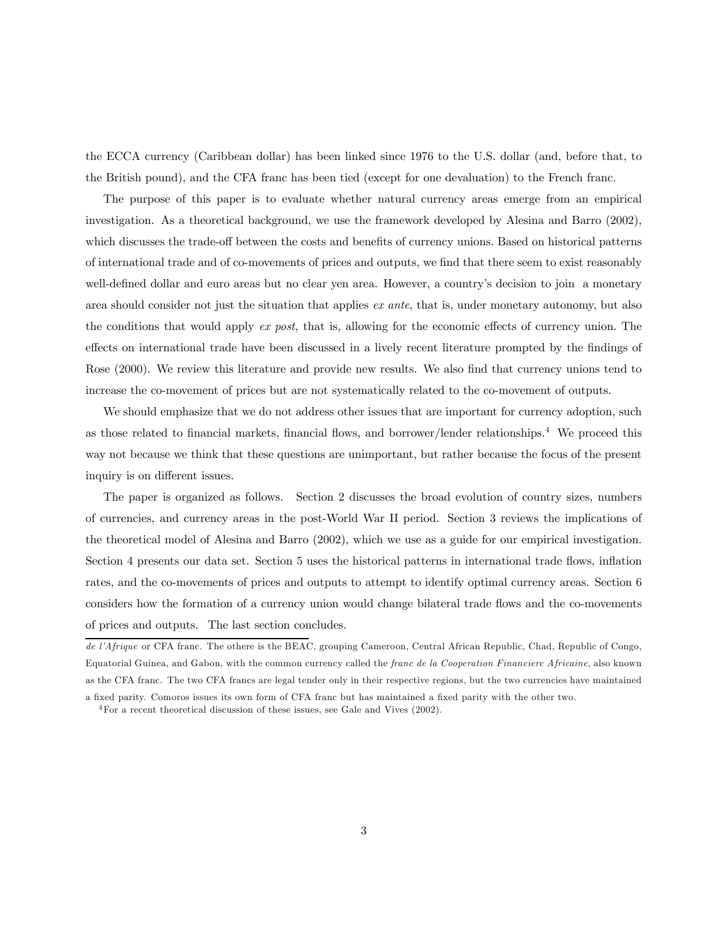the ECCA currency (Caribbean dollar) has been linked since 1976 to the U.S. dollar (and, before that, to the British pound), and the CFA franc has been tied (except for one devaluation) to the French franc.

The purpose of this paper is to evaluate whether natural currency areas emerge from an empirical investigation. As a theoretical background, we use the framework developed by Alesina and Barro (2002), which discusses the trade-off between the costs and benefits of currency unions. Based on historical patterns of international trade and of co-movements of prices and outputs, we find that there seem to exist reasonably well-defined dollar and euro areas but no clear yen area. However, a country's decision to join a monetary area should consider not just the situation that applies ex ante, that is, under monetary autonomy, but also the conditions that would apply ex post, that is, allowing for the economic effects of currency union. The effects on international trade have been discussed in a lively recent literature prompted by the findings of Rose (2000). We review this literature and provide new results. We also find that currency unions tend to increase the co-movement of prices but are not systematically related to the co-movement of outputs.

We should emphasize that we do not address other issues that are important for currency adoption, such as those related to financial markets, financial flows, and borrower/lender relationships.<sup>4</sup> We proceed this way not because we think that these questions are unimportant, but rather because the focus of the present inquiry is on different issues.

The paper is organized as follows. Section 2 discusses the broad evolution of country sizes, numbers of currencies, and currency areas in the post-World War II period. Section 3 reviews the implications of the theoretical model of Alesina and Barro (2002), which we use as a guide for our empirical investigation. Section 4 presents our data set. Section 5 uses the historical patterns in international trade flows, inflation rates, and the co-movements of prices and outputs to attempt to identify optimal currency areas. Section 6 considers how the formation of a currency union would change bilateral trade flows and the co-movements of prices and outputs. The last section concludes.

de l'Afrique or CFA franc. The othere is the BEAC, grouping Cameroon, Central African Republic, Chad, Republic of Congo, Equatorial Guinea, and Gabon, with the common currency called the franc de la Cooperation Financiere Africaine, also known as the CFA franc. The two CFA francs are legal tender only in their respective regions, but the two currencies have maintained a fixed parity. Comoros issues its own form of CFA franc but has maintained a fixed parity with the other two.

 ${}^{4}$ For a recent theoretical discussion of these issues, see Gale and Vives (2002).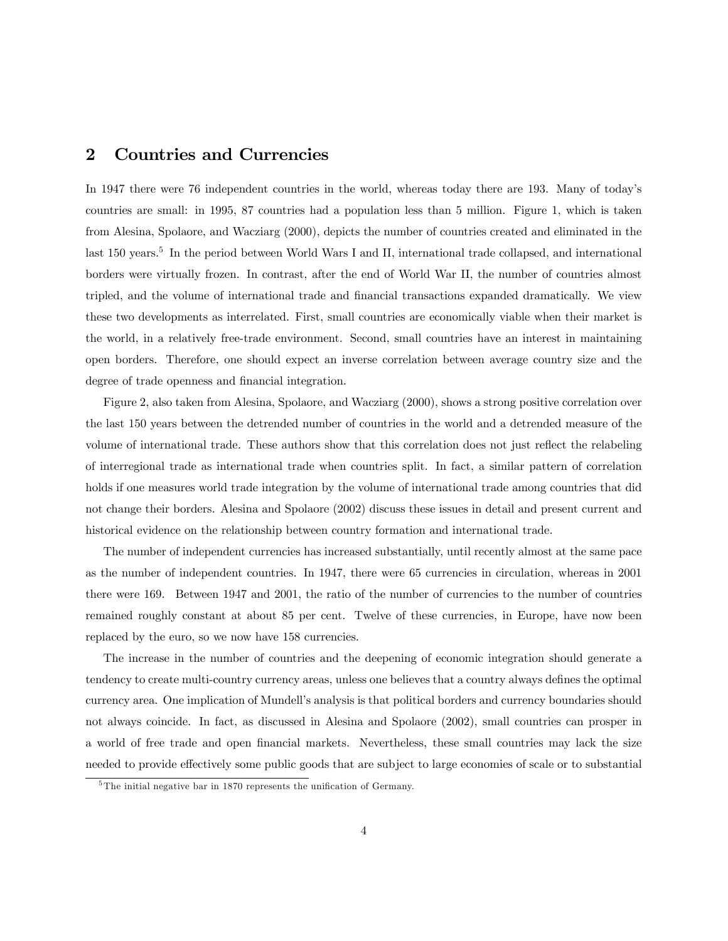## 2 Countries and Currencies

In 1947 there were 76 independent countries in the world, whereas today there are 193. Many of today's countries are small: in 1995, 87 countries had a population less than 5 million. Figure 1, which is taken from Alesina, Spolaore, and Wacziarg (2000), depicts the number of countries created and eliminated in the last 150 years.<sup>5</sup> In the period between World Wars I and II, international trade collapsed, and international borders were virtually frozen. In contrast, after the end of World War II, the number of countries almost tripled, and the volume of international trade and financial transactions expanded dramatically. We view these two developments as interrelated. First, small countries are economically viable when their market is the world, in a relatively free-trade environment. Second, small countries have an interest in maintaining open borders. Therefore, one should expect an inverse correlation between average country size and the degree of trade openness and financial integration.

Figure 2, also taken from Alesina, Spolaore, and Wacziarg (2000), shows a strong positive correlation over the last 150 years between the detrended number of countries in the world and a detrended measure of the volume of international trade. These authors show that this correlation does not just reflect the relabeling of interregional trade as international trade when countries split. In fact, a similar pattern of correlation holds if one measures world trade integration by the volume of international trade among countries that did not change their borders. Alesina and Spolaore (2002) discuss these issues in detail and present current and historical evidence on the relationship between country formation and international trade.

The number of independent currencies has increased substantially, until recently almost at the same pace as the number of independent countries. In 1947, there were 65 currencies in circulation, whereas in 2001 there were 169. Between 1947 and 2001, the ratio of the number of currencies to the number of countries remained roughly constant at about 85 per cent. Twelve of these currencies, in Europe, have now been replaced by the euro, so we now have 158 currencies.

The increase in the number of countries and the deepening of economic integration should generate a tendency to create multi-country currency areas, unless one believes that a country always defines the optimal currency area. One implication of Mundell's analysis is that political borders and currency boundaries should not always coincide. In fact, as discussed in Alesina and Spolaore (2002), small countries can prosper in a world of free trade and open financial markets. Nevertheless, these small countries may lack the size needed to provide effectively some public goods that are subject to large economies of scale or to substantial

 $5$ The initial negative bar in 1870 represents the unification of Germany.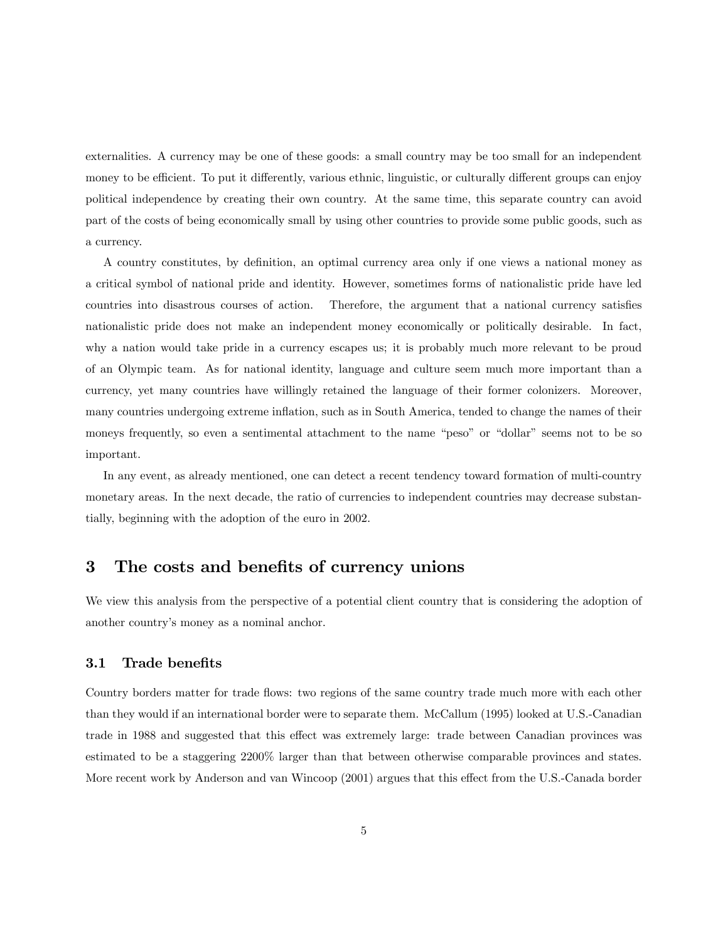externalities. A currency may be one of these goods: a small country may be too small for an independent money to be efficient. To put it differently, various ethnic, linguistic, or culturally different groups can enjoy political independence by creating their own country. At the same time, this separate country can avoid part of the costs of being economically small by using other countries to provide some public goods, such as a currency.

A country constitutes, by definition, an optimal currency area only if one views a national money as a critical symbol of national pride and identity. However, sometimes forms of nationalistic pride have led countries into disastrous courses of action. Therefore, the argument that a national currency satisfies nationalistic pride does not make an independent money economically or politically desirable. In fact, why a nation would take pride in a currency escapes us; it is probably much more relevant to be proud of an Olympic team. As for national identity, language and culture seem much more important than a currency, yet many countries have willingly retained the language of their former colonizers. Moreover, many countries undergoing extreme inflation, such as in South America, tended to change the names of their moneys frequently, so even a sentimental attachment to the name "peso" or "dollar" seems not to be so important.

In any event, as already mentioned, one can detect a recent tendency toward formation of multi-country monetary areas. In the next decade, the ratio of currencies to independent countries may decrease substantially, beginning with the adoption of the euro in 2002.

# 3 The costs and benefits of currency unions

We view this analysis from the perspective of a potential client country that is considering the adoption of another country's money as a nominal anchor.

### 3.1 Trade benefits

Country borders matter for trade flows: two regions of the same country trade much more with each other than they would if an international border were to separate them. McCallum (1995) looked at U.S.-Canadian trade in 1988 and suggested that this effect was extremely large: trade between Canadian provinces was estimated to be a staggering 2200% larger than that between otherwise comparable provinces and states. More recent work by Anderson and van Wincoop (2001) argues that this effect from the U.S.-Canada border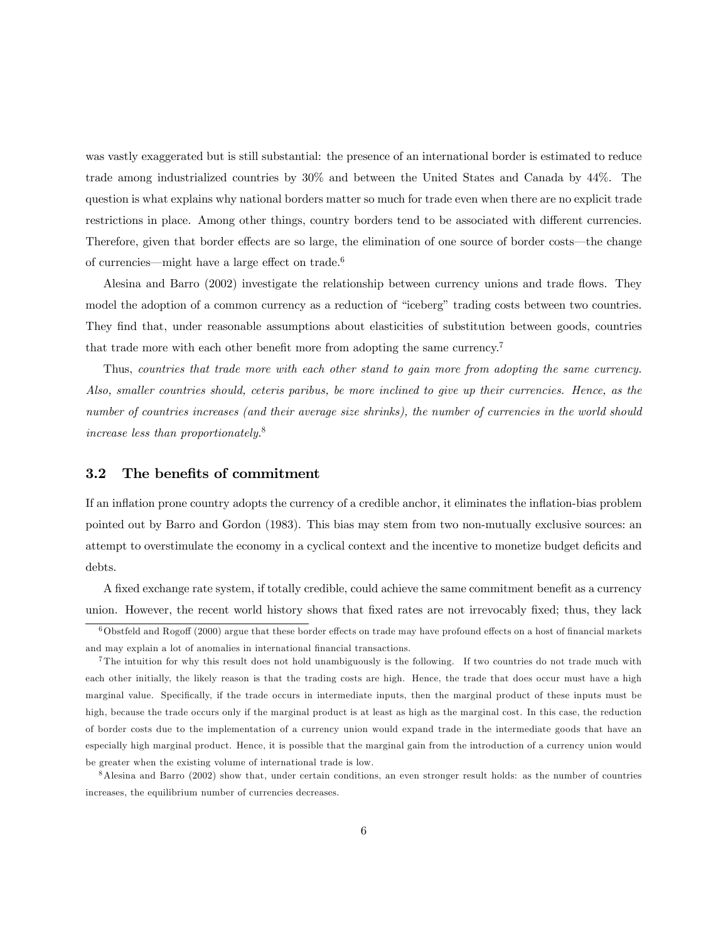was vastly exaggerated but is still substantial: the presence of an international border is estimated to reduce trade among industrialized countries by 30% and between the United States and Canada by 44%. The question is what explains why national borders matter so much for trade even when there are no explicit trade restrictions in place. Among other things, country borders tend to be associated with different currencies. Therefore, given that border effects are so large, the elimination of one source of border costs–the change of currencies–might have a large effect on trade.6

Alesina and Barro (2002) investigate the relationship between currency unions and trade flows. They model the adoption of a common currency as a reduction of "iceberg" trading costs between two countries. They find that, under reasonable assumptions about elasticities of substitution between goods, countries that trade more with each other benefit more from adopting the same currency.7

Thus, countries that trade more with each other stand to gain more from adopting the same currency. Also, smaller countries should, ceteris paribus, be more inclined to give up their currencies. Hence, as the number of countries increases (and their average size shrinks), the number of currencies in the world should increase less than proportionately.<sup>8</sup>

## 3.2 The benefits of commitment

If an inflation prone country adopts the currency of a credible anchor, it eliminates the inflation-bias problem pointed out by Barro and Gordon (1983). This bias may stem from two non-mutually exclusive sources: an attempt to overstimulate the economy in a cyclical context and the incentive to monetize budget deficits and debts.

A fixed exchange rate system, if totally credible, could achieve the same commitment benefit as a currency union. However, the recent world history shows that fixed rates are not irrevocably fixed; thus, they lack

 $6$ Obstfeld and Rogoff (2000) argue that these border effects on trade may have profound effects on a host of financial markets and may explain a lot of anomalies in international financial transactions.

<sup>7</sup>The intuition for why this result does not hold unambiguously is the following. If two countries do not trade much with each other initially, the likely reason is that the trading costs are high. Hence, the trade that does occur must have a high marginal value. Specifically, if the trade occurs in intermediate inputs, then the marginal product of these inputs must be high, because the trade occurs only if the marginal product is at least as high as the marginal cost. In this case, the reduction of border costs due to the implementation of a currency union would expand trade in the intermediate goods that have an especially high marginal product. Hence, it is possible that the marginal gain from the introduction of a currency union would be greater when the existing volume of international trade is low.

<sup>8</sup>Alesina and Barro (2002) show that, under certain conditions, an even stronger result holds: as the number of countries increases, the equilibrium number of currencies decreases.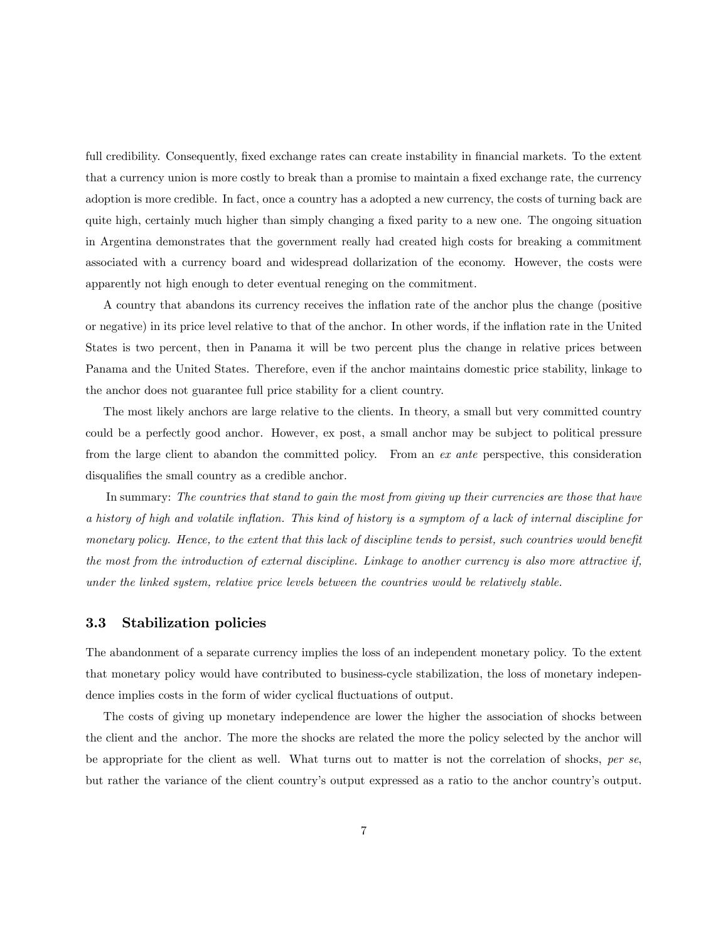full credibility. Consequently, fixed exchange rates can create instability in financial markets. To the extent that a currency union is more costly to break than a promise to maintain a fixed exchange rate, the currency adoption is more credible. In fact, once a country has a adopted a new currency, the costs of turning back are quite high, certainly much higher than simply changing a fixed parity to a new one. The ongoing situation in Argentina demonstrates that the government really had created high costs for breaking a commitment associated with a currency board and widespread dollarization of the economy. However, the costs were apparently not high enough to deter eventual reneging on the commitment.

A country that abandons its currency receives the inflation rate of the anchor plus the change (positive or negative) in its price level relative to that of the anchor. In other words, if the inflation rate in the United States is two percent, then in Panama it will be two percent plus the change in relative prices between Panama and the United States. Therefore, even if the anchor maintains domestic price stability, linkage to the anchor does not guarantee full price stability for a client country.

The most likely anchors are large relative to the clients. In theory, a small but very committed country could be a perfectly good anchor. However, ex post, a small anchor may be subject to political pressure from the large client to abandon the committed policy. From an ex ante perspective, this consideration disqualifies the small country as a credible anchor.

In summary: The countries that stand to gain the most from giving up their currencies are those that have a history of high and volatile inflation. This kind of history is a symptom of a lack of internal discipline for monetary policy. Hence, to the extent that this lack of discipline tends to persist, such countries would benefit the most from the introduction of external discipline. Linkage to another currency is also more attractive if, under the linked system, relative price levels between the countries would be relatively stable.

#### 3.3 Stabilization policies

The abandonment of a separate currency implies the loss of an independent monetary policy. To the extent that monetary policy would have contributed to business-cycle stabilization, the loss of monetary independence implies costs in the form of wider cyclical fluctuations of output.

The costs of giving up monetary independence are lower the higher the association of shocks between the client and the anchor. The more the shocks are related the more the policy selected by the anchor will be appropriate for the client as well. What turns out to matter is not the correlation of shocks, per se, but rather the variance of the client country's output expressed as a ratio to the anchor country's output.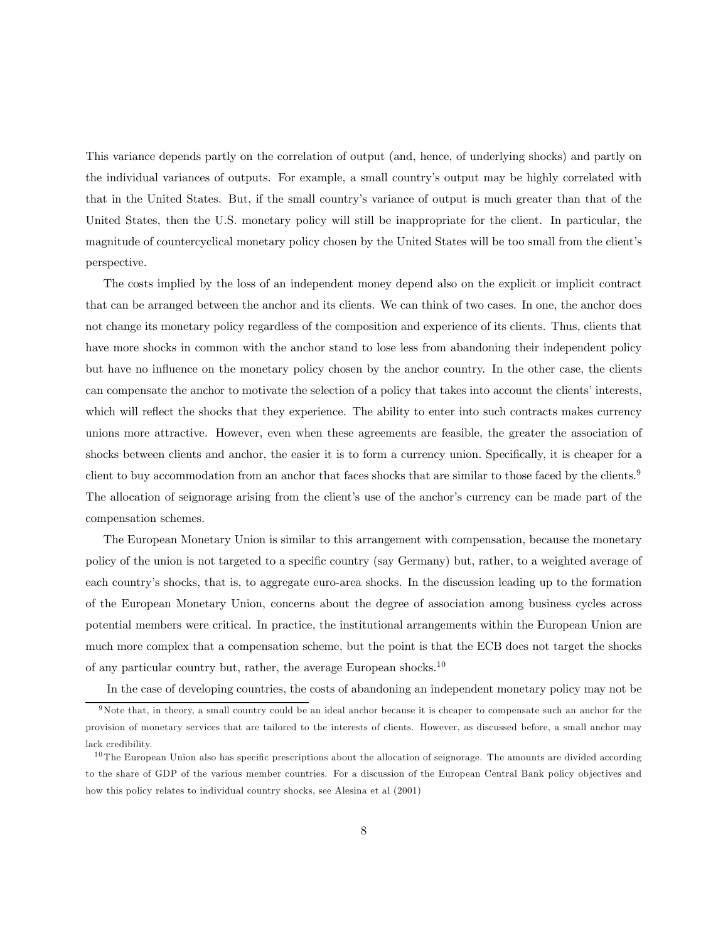This variance depends partly on the correlation of output (and, hence, of underlying shocks) and partly on the individual variances of outputs. For example, a small country's output may be highly correlated with that in the United States. But, if the small country's variance of output is much greater than that of the United States, then the U.S. monetary policy will still be inappropriate for the client. In particular, the magnitude of countercyclical monetary policy chosen by the United States will be too small from the client's perspective.

The costs implied by the loss of an independent money depend also on the explicit or implicit contract that can be arranged between the anchor and its clients. We can think of two cases. In one, the anchor does not change its monetary policy regardless of the composition and experience of its clients. Thus, clients that have more shocks in common with the anchor stand to lose less from abandoning their independent policy but have no influence on the monetary policy chosen by the anchor country. In the other case, the clients can compensate the anchor to motivate the selection of a policy that takes into account the clients' interests, which will reflect the shocks that they experience. The ability to enter into such contracts makes currency unions more attractive. However, even when these agreements are feasible, the greater the association of shocks between clients and anchor, the easier it is to form a currency union. Specifically, it is cheaper for a client to buy accommodation from an anchor that faces shocks that are similar to those faced by the clients.<sup>9</sup> The allocation of seignorage arising from the client's use of the anchor's currency can be made part of the compensation schemes.

The European Monetary Union is similar to this arrangement with compensation, because the monetary policy of the union is not targeted to a specific country (say Germany) but, rather, to a weighted average of each country's shocks, that is, to aggregate euro-area shocks. In the discussion leading up to the formation of the European Monetary Union, concerns about the degree of association among business cycles across potential members were critical. In practice, the institutional arrangements within the European Union are much more complex that a compensation scheme, but the point is that the ECB does not target the shocks of any particular country but, rather, the average European shocks.<sup>10</sup>

In the case of developing countries, the costs of abandoning an independent monetary policy may not be

 $9$ Note that, in theory, a small country could be an ideal anchor because it is cheaper to compensate such an anchor for the provision of monetary services that are tailored to the interests of clients. However, as discussed before, a small anchor may lack credibility.

 $10$ The European Union also has specific prescriptions about the allocation of seignorage. The amounts are divided according to the share of GDP of the various member countries. For a discussion of the European Central Bank policy objectives and how this policy relates to individual country shocks, see Alesina et al (2001)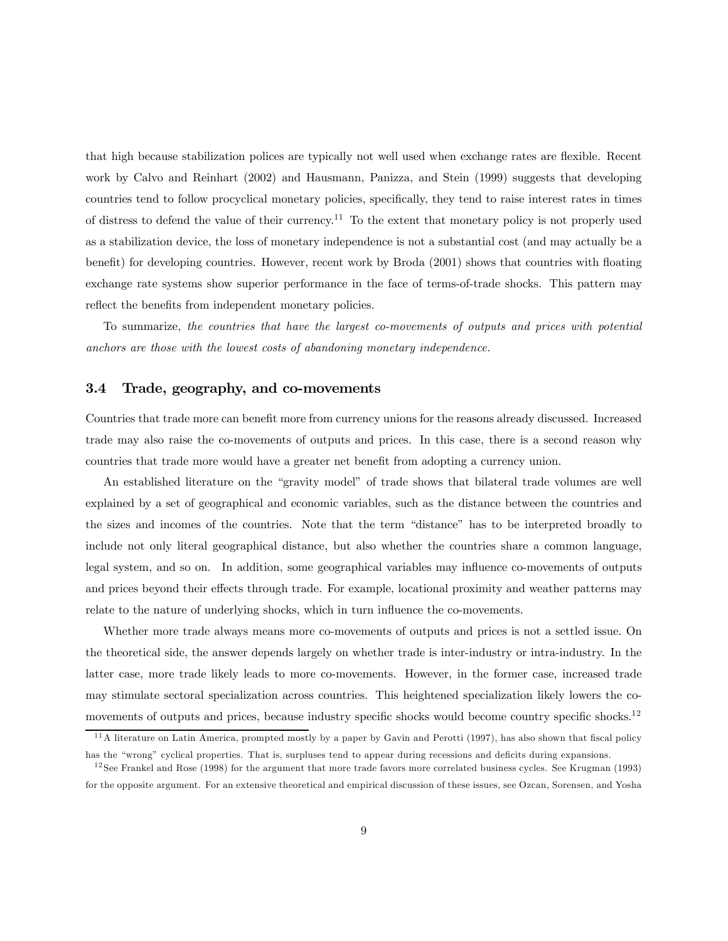that high because stabilization polices are typically not well used when exchange rates are flexible. Recent work by Calvo and Reinhart (2002) and Hausmann, Panizza, and Stein (1999) suggests that developing countries tend to follow procyclical monetary policies, specifically, they tend to raise interest rates in times of distress to defend the value of their currency.<sup>11</sup> To the extent that monetary policy is not properly used as a stabilization device, the loss of monetary independence is not a substantial cost (and may actually be a benefit) for developing countries. However, recent work by Broda (2001) shows that countries with floating exchange rate systems show superior performance in the face of terms-of-trade shocks. This pattern may reflect the benefits from independent monetary policies.

To summarize, the countries that have the largest co-movements of outputs and prices with potential anchors are those with the lowest costs of abandoning monetary independence.

## 3.4 Trade, geography, and co-movements

Countries that trade more can benefit more from currency unions for the reasons already discussed. Increased trade may also raise the co-movements of outputs and prices. In this case, there is a second reason why countries that trade more would have a greater net benefit from adopting a currency union.

An established literature on the "gravity model" of trade shows that bilateral trade volumes are well explained by a set of geographical and economic variables, such as the distance between the countries and the sizes and incomes of the countries. Note that the term "distance" has to be interpreted broadly to include not only literal geographical distance, but also whether the countries share a common language, legal system, and so on. In addition, some geographical variables may influence co-movements of outputs and prices beyond their effects through trade. For example, locational proximity and weather patterns may relate to the nature of underlying shocks, which in turn influence the co-movements.

Whether more trade always means more co-movements of outputs and prices is not a settled issue. On the theoretical side, the answer depends largely on whether trade is inter-industry or intra-industry. In the latter case, more trade likely leads to more co-movements. However, in the former case, increased trade may stimulate sectoral specialization across countries. This heightened specialization likely lowers the comovements of outputs and prices, because industry specific shocks would become country specific shocks.12

 $11A$  literature on Latin America, prompted mostly by a paper by Gavin and Perotti (1997), has also shown that fiscal policy has the "wrong" cyclical properties. That is, surpluses tend to appear during recessions and deficits during expansions.

 $12$  See Frankel and Rose (1998) for the argument that more trade favors more correlated business cycles. See Krugman (1993) for the opposite argument. For an extensive theoretical and empirical discussion of these issues, see Ozcan, Sorensen, and Yosha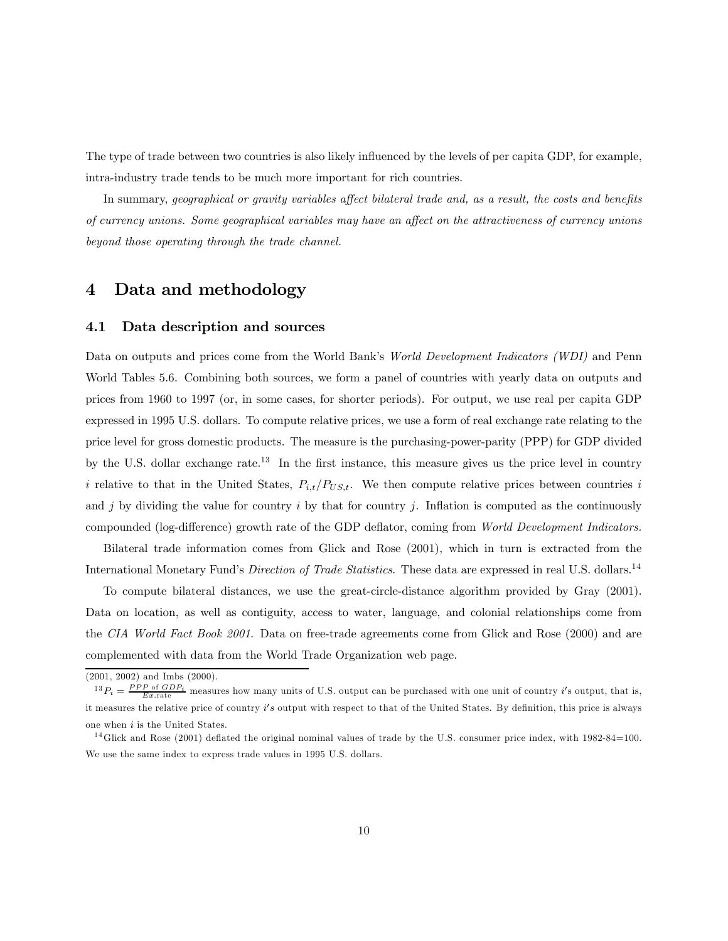The type of trade between two countries is also likely influenced by the levels of per capita GDP, for example, intra-industry trade tends to be much more important for rich countries.

In summary, geographical or gravity variables affect bilateral trade and, as a result, the costs and benefits of currency unions. Some geographical variables may have an affect on the attractiveness of currency unions beyond those operating through the trade channel.

# 4 Data and methodology

### 4.1 Data description and sources

Data on outputs and prices come from the World Bank's World Development Indicators (WDI) and Penn World Tables 5.6. Combining both sources, we form a panel of countries with yearly data on outputs and prices from 1960 to 1997 (or, in some cases, for shorter periods). For output, we use real per capita GDP expressed in 1995 U.S. dollars. To compute relative prices, we use a form of real exchange rate relating to the price level for gross domestic products. The measure is the purchasing-power-parity (PPP) for GDP divided by the U.S. dollar exchange rate.13 In the first instance, this measure gives us the price level in country i relative to that in the United States,  $P_{i,t}/P_{US,t}$ . We then compute relative prices between countries i and j by dividing the value for country i by that for country j. Inflation is computed as the continuously compounded (log-difference) growth rate of the GDP deflator, coming from World Development Indicators.

Bilateral trade information comes from Glick and Rose (2001), which in turn is extracted from the International Monetary Fund's *Direction of Trade Statistics*. These data are expressed in real U.S. dollars.<sup>14</sup>

To compute bilateral distances, we use the great-circle-distance algorithm provided by Gray (2001). Data on location, as well as contiguity, access to water, language, and colonial relationships come from the CIA World Fact Book 2001. Data on free-trade agreements come from Glick and Rose (2000) and are complemented with data from the World Trade Organization web page.

(2001, 2002) and Imbs (2000).

 $^{13}P_i = \frac{PPP\ of\ GDP_i}{Ex.\ rate}$  measures how many units of U.S. output can be purchased with one unit of country i's output, that is, it measures the relative price of country  $i's$  output with respect to that of the United States. By definition, this price is always one when i is the United States.

 $14$  Glick and Rose (2001) deflated the original nominal values of trade by the U.S. consumer price index, with  $1982-84=100$ . We use the same index to express trade values in 1995 U.S. dollars.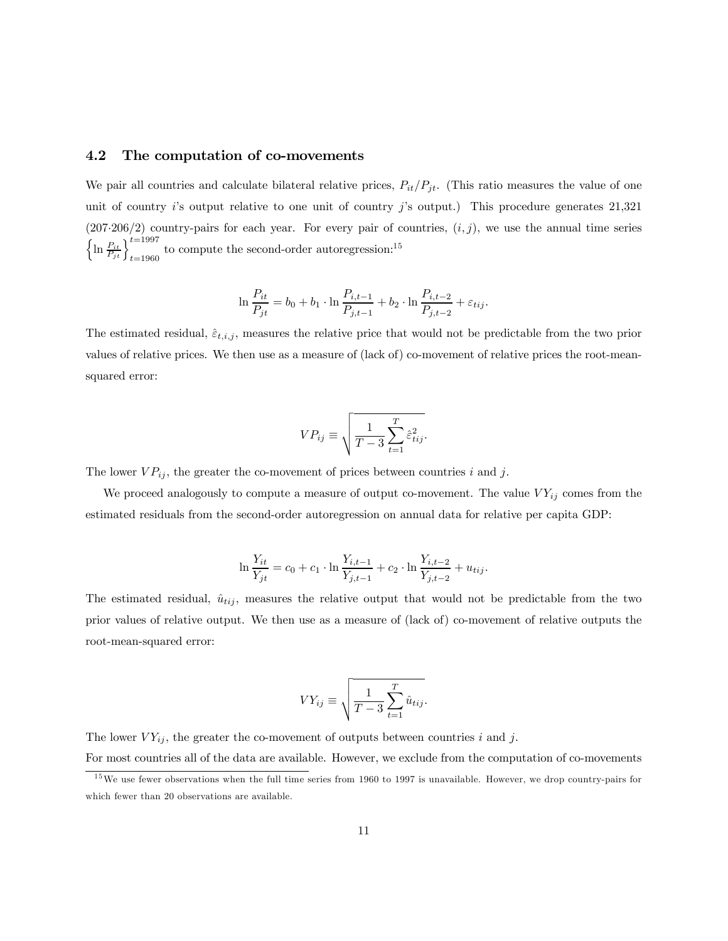## 4.2 The computation of co-movements

We pair all countries and calculate bilateral relative prices,  $P_{it}/P_{jt}$ . (This ratio measures the value of one unit of country  $i$ 's output relative to one unit of country  $j$ 's output.) This procedure generates  $21,321$  $(207.206/2)$  country-pairs for each year. For every pair of countries,  $(i, j)$ , we use the annual time series  $\left\{\ln \frac{P_{it}}{P_{jt}}\right\}_{t=1960}^{t=1997}$  to compute the second-order autoregression:<sup>15</sup>

$$
\ln \frac{P_{it}}{P_{jt}} = b_0 + b_1 \cdot \ln \frac{P_{i,t-1}}{P_{j,t-1}} + b_2 \cdot \ln \frac{P_{i,t-2}}{P_{j,t-2}} + \varepsilon_{tij}.
$$

The estimated residual,  $\hat{\varepsilon}_{t,i,j}$ , measures the relative price that would not be predictable from the two prior values of relative prices. We then use as a measure of (lack of) co-movement of relative prices the root-meansquared error:

$$
VP_{ij} \equiv \sqrt{\frac{1}{T-3} \sum_{t=1}^{T} \hat{\varepsilon}_{tij}^2}.
$$

The lower  $VP_{ij}$ , the greater the co-movement of prices between countries i and j.

We proceed analogously to compute a measure of output co-movement. The value  $V Y_{ij}$  comes from the estimated residuals from the second-order autoregression on annual data for relative per capita GDP:

$$
\ln \frac{Y_{it}}{Y_{jt}} = c_0 + c_1 \cdot \ln \frac{Y_{i,t-1}}{Y_{j,t-1}} + c_2 \cdot \ln \frac{Y_{i,t-2}}{Y_{j,t-2}} + u_{tij}.
$$

The estimated residual,  $\hat{u}_{tij}$ , measures the relative output that would not be predictable from the two prior values of relative output. We then use as a measure of (lack of) co-movement of relative outputs the root-mean-squared error:

$$
VY_{ij} \equiv \sqrt{\frac{1}{T-3} \sum_{t=1}^{T} \hat{u}_{tij}}.
$$

The lower  $V Y_{ij}$ , the greater the co-movement of outputs between countries i and j.

For most countries all of the data are available. However, we exclude from the computation of co-movements

<sup>&</sup>lt;sup>15</sup>We use fewer observations when the full time series from 1960 to 1997 is unavailable. However, we drop country-pairs for which fewer than 20 observations are available.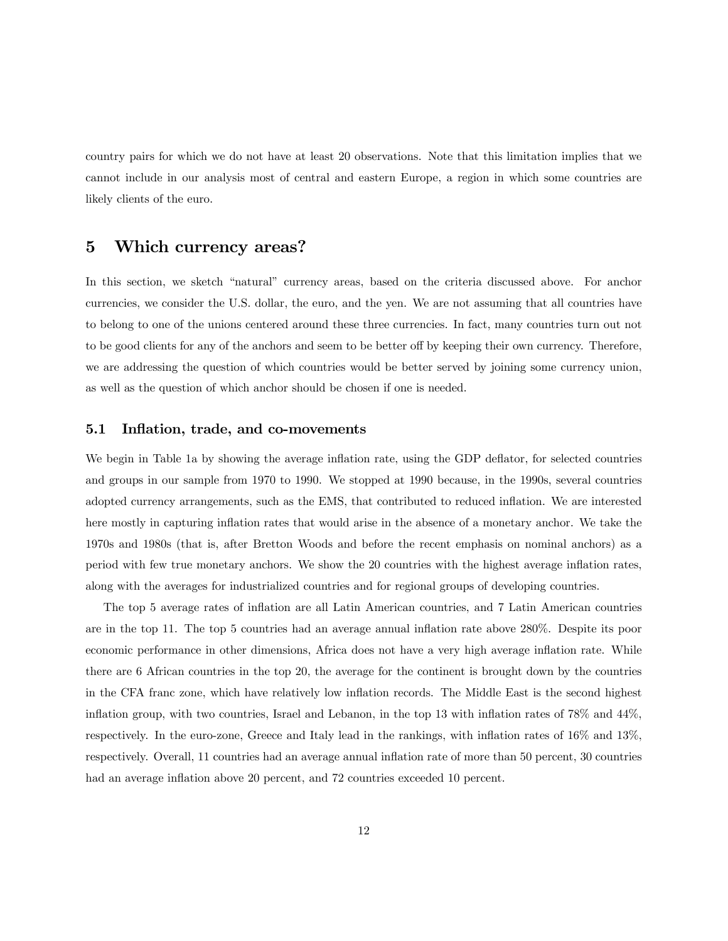country pairs for which we do not have at least 20 observations. Note that this limitation implies that we cannot include in our analysis most of central and eastern Europe, a region in which some countries are likely clients of the euro.

## 5 Which currency areas?

In this section, we sketch "natural" currency areas, based on the criteria discussed above. For anchor currencies, we consider the U.S. dollar, the euro, and the yen. We are not assuming that all countries have to belong to one of the unions centered around these three currencies. In fact, many countries turn out not to be good clients for any of the anchors and seem to be better off by keeping their own currency. Therefore, we are addressing the question of which countries would be better served by joining some currency union, as well as the question of which anchor should be chosen if one is needed.

#### 5.1 Inflation, trade, and co-movements

We begin in Table 1a by showing the average inflation rate, using the GDP deflator, for selected countries and groups in our sample from 1970 to 1990. We stopped at 1990 because, in the 1990s, several countries adopted currency arrangements, such as the EMS, that contributed to reduced inflation. We are interested here mostly in capturing inflation rates that would arise in the absence of a monetary anchor. We take the 1970s and 1980s (that is, after Bretton Woods and before the recent emphasis on nominal anchors) as a period with few true monetary anchors. We show the 20 countries with the highest average inflation rates, along with the averages for industrialized countries and for regional groups of developing countries.

The top 5 average rates of inflation are all Latin American countries, and 7 Latin American countries are in the top 11. The top 5 countries had an average annual inflation rate above 280%. Despite its poor economic performance in other dimensions, Africa does not have a very high average inflation rate. While there are 6 African countries in the top 20, the average for the continent is brought down by the countries in the CFA franc zone, which have relatively low inflation records. The Middle East is the second highest inflation group, with two countries, Israel and Lebanon, in the top 13 with inflation rates of 78% and 44%, respectively. In the euro-zone, Greece and Italy lead in the rankings, with inflation rates of 16% and 13%, respectively. Overall, 11 countries had an average annual inflation rate of more than 50 percent, 30 countries had an average inflation above 20 percent, and 72 countries exceeded 10 percent.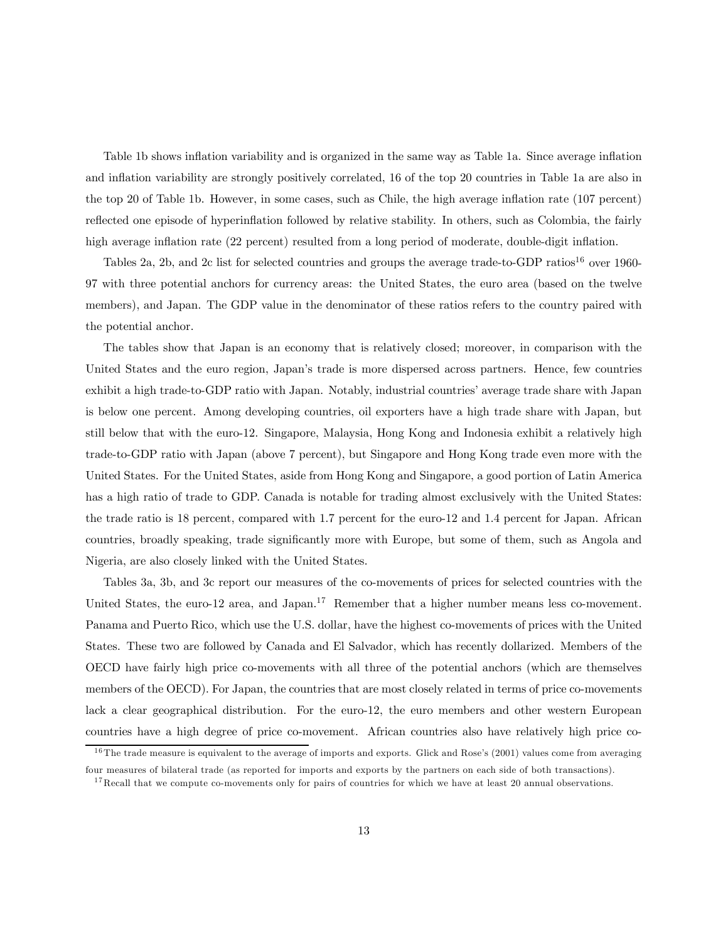Table 1b shows inflation variability and is organized in the same way as Table 1a. Since average inflation and inflation variability are strongly positively correlated, 16 of the top 20 countries in Table 1a are also in the top 20 of Table 1b. However, in some cases, such as Chile, the high average inflation rate (107 percent) reflected one episode of hyperinflation followed by relative stability. In others, such as Colombia, the fairly high average inflation rate (22 percent) resulted from a long period of moderate, double-digit inflation.

Tables 2a, 2b, and 2c list for selected countries and groups the average trade-to-GDP ratios<sup>16</sup> over 1960-97 with three potential anchors for currency areas: the United States, the euro area (based on the twelve members), and Japan. The GDP value in the denominator of these ratios refers to the country paired with the potential anchor.

The tables show that Japan is an economy that is relatively closed; moreover, in comparison with the United States and the euro region, Japan's trade is more dispersed across partners. Hence, few countries exhibit a high trade-to-GDP ratio with Japan. Notably, industrial countries' average trade share with Japan is below one percent. Among developing countries, oil exporters have a high trade share with Japan, but still below that with the euro-12. Singapore, Malaysia, Hong Kong and Indonesia exhibit a relatively high trade-to-GDP ratio with Japan (above 7 percent), but Singapore and Hong Kong trade even more with the United States. For the United States, aside from Hong Kong and Singapore, a good portion of Latin America has a high ratio of trade to GDP. Canada is notable for trading almost exclusively with the United States: the trade ratio is 18 percent, compared with 1.7 percent for the euro-12 and 1.4 percent for Japan. African countries, broadly speaking, trade significantly more with Europe, but some of them, such as Angola and Nigeria, are also closely linked with the United States.

Tables 3a, 3b, and 3c report our measures of the co-movements of prices for selected countries with the United States, the euro-12 area, and Japan.<sup>17</sup> Remember that a higher number means less co-movement. Panama and Puerto Rico, which use the U.S. dollar, have the highest co-movements of prices with the United States. These two are followed by Canada and El Salvador, which has recently dollarized. Members of the OECD have fairly high price co-movements with all three of the potential anchors (which are themselves members of the OECD). For Japan, the countries that are most closely related in terms of price co-movements lack a clear geographical distribution. For the euro-12, the euro members and other western European countries have a high degree of price co-movement. African countries also have relatively high price co-

 $16$ The trade measure is equivalent to the average of imports and exports. Glick and Rose's (2001) values come from averaging

four measures of bilateral trade (as reported for imports and exports by the partners on each side of both transactions).

 $17$ Recall that we compute co-movements only for pairs of countries for which we have at least 20 annual observations.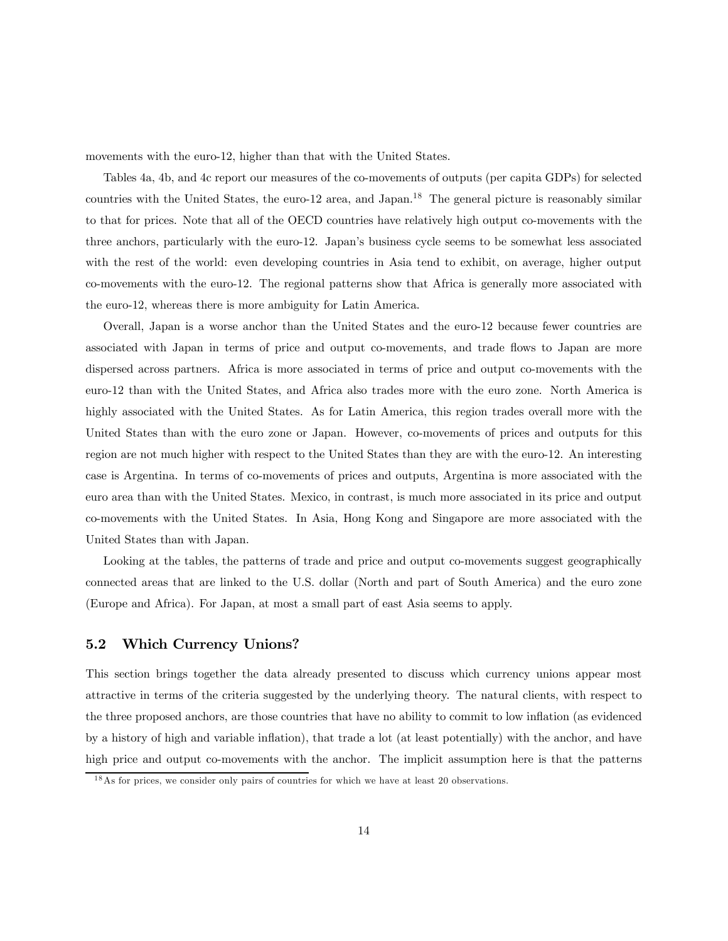movements with the euro-12, higher than that with the United States.

Tables 4a, 4b, and 4c report our measures of the co-movements of outputs (per capita GDPs) for selected countries with the United States, the euro-12 area, and Japan.18 The general picture is reasonably similar to that for prices. Note that all of the OECD countries have relatively high output co-movements with the three anchors, particularly with the euro-12. Japan's business cycle seems to be somewhat less associated with the rest of the world: even developing countries in Asia tend to exhibit, on average, higher output co-movements with the euro-12. The regional patterns show that Africa is generally more associated with the euro-12, whereas there is more ambiguity for Latin America.

Overall, Japan is a worse anchor than the United States and the euro-12 because fewer countries are associated with Japan in terms of price and output co-movements, and trade flows to Japan are more dispersed across partners. Africa is more associated in terms of price and output co-movements with the euro-12 than with the United States, and Africa also trades more with the euro zone. North America is highly associated with the United States. As for Latin America, this region trades overall more with the United States than with the euro zone or Japan. However, co-movements of prices and outputs for this region are not much higher with respect to the United States than they are with the euro-12. An interesting case is Argentina. In terms of co-movements of prices and outputs, Argentina is more associated with the euro area than with the United States. Mexico, in contrast, is much more associated in its price and output co-movements with the United States. In Asia, Hong Kong and Singapore are more associated with the United States than with Japan.

Looking at the tables, the patterns of trade and price and output co-movements suggest geographically connected areas that are linked to the U.S. dollar (North and part of South America) and the euro zone (Europe and Africa). For Japan, at most a small part of east Asia seems to apply.

## 5.2 Which Currency Unions?

This section brings together the data already presented to discuss which currency unions appear most attractive in terms of the criteria suggested by the underlying theory. The natural clients, with respect to the three proposed anchors, are those countries that have no ability to commit to low inflation (as evidenced by a history of high and variable inflation), that trade a lot (at least potentially) with the anchor, and have high price and output co-movements with the anchor. The implicit assumption here is that the patterns

<sup>&</sup>lt;sup>18</sup>As for prices, we consider only pairs of countries for which we have at least 20 observations.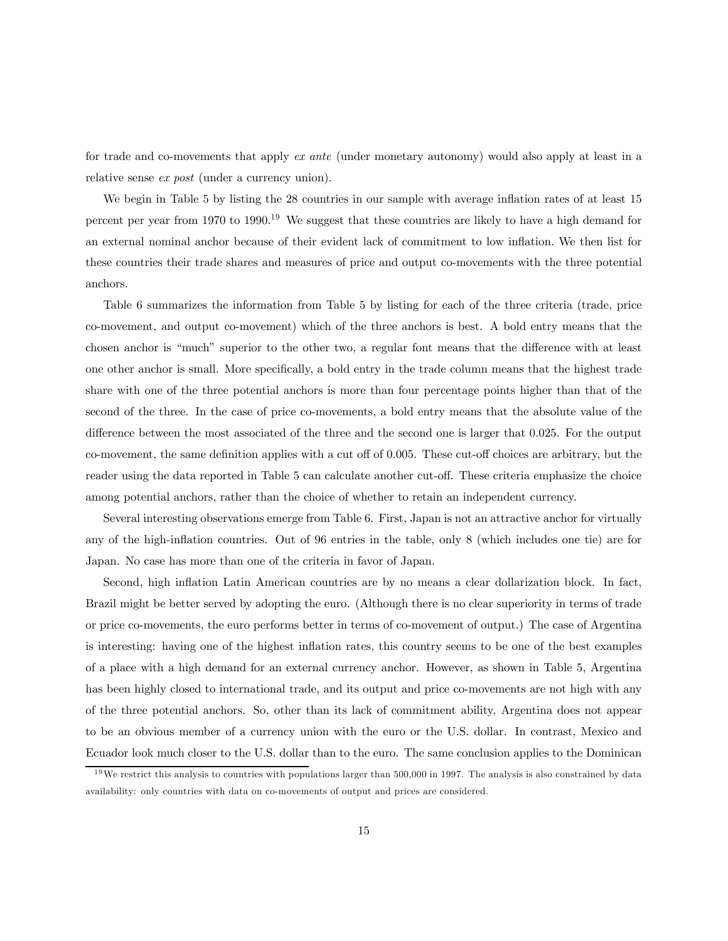for trade and co-movements that apply ex ante (under monetary autonomy) would also apply at least in a relative sense *ex post* (under a currency union).

We begin in Table 5 by listing the 28 countries in our sample with average inflation rates of at least 15 percent per year from 1970 to 1990.<sup>19</sup> We suggest that these countries are likely to have a high demand for an external nominal anchor because of their evident lack of commitment to low inflation. We then list for these countries their trade shares and measures of price and output co-movements with the three potential anchors.

Table 6 summarizes the information from Table 5 by listing for each of the three criteria (trade, price co-movement, and output co-movement) which of the three anchors is best. A bold entry means that the chosen anchor is "much" superior to the other two, a regular font means that the difference with at least one other anchor is small. More specifically, a bold entry in the trade column means that the highest trade share with one of the three potential anchors is more than four percentage points higher than that of the second of the three. In the case of price co-movements, a bold entry means that the absolute value of the difference between the most associated of the three and the second one is larger that 0.025. For the output co-movement, the same definition applies with a cut off of 0.005. These cut-off choices are arbitrary, but the reader using the data reported in Table 5 can calculate another cut-off. These criteria emphasize the choice among potential anchors, rather than the choice of whether to retain an independent currency.

Several interesting observations emerge from Table 6. First, Japan is not an attractive anchor for virtually any of the high-inflation countries. Out of 96 entries in the table, only 8 (which includes one tie) are for Japan. No case has more than one of the criteria in favor of Japan.

Second, high inflation Latin American countries are by no means a clear dollarization block. In fact, Brazil might be better served by adopting the euro. (Although there is no clear superiority in terms of trade or price co-movements, the euro performs better in terms of co-movement of output.) The case of Argentina is interesting: having one of the highest inflation rates, this country seems to be one of the best examples of a place with a high demand for an external currency anchor. However, as shown in Table 5, Argentina has been highly closed to international trade, and its output and price co-movements are not high with any of the three potential anchors. So, other than its lack of commitment ability, Argentina does not appear to be an obvious member of a currency union with the euro or the U.S. dollar. In contrast, Mexico and Ecuador look much closer to the U.S. dollar than to the euro. The same conclusion applies to the Dominican

 $19$ We restrict this analysis to countries with populations larger than  $500,000$  in 1997. The analysis is also constrained by data availability: only countries with data on co-movements of output and prices are considered.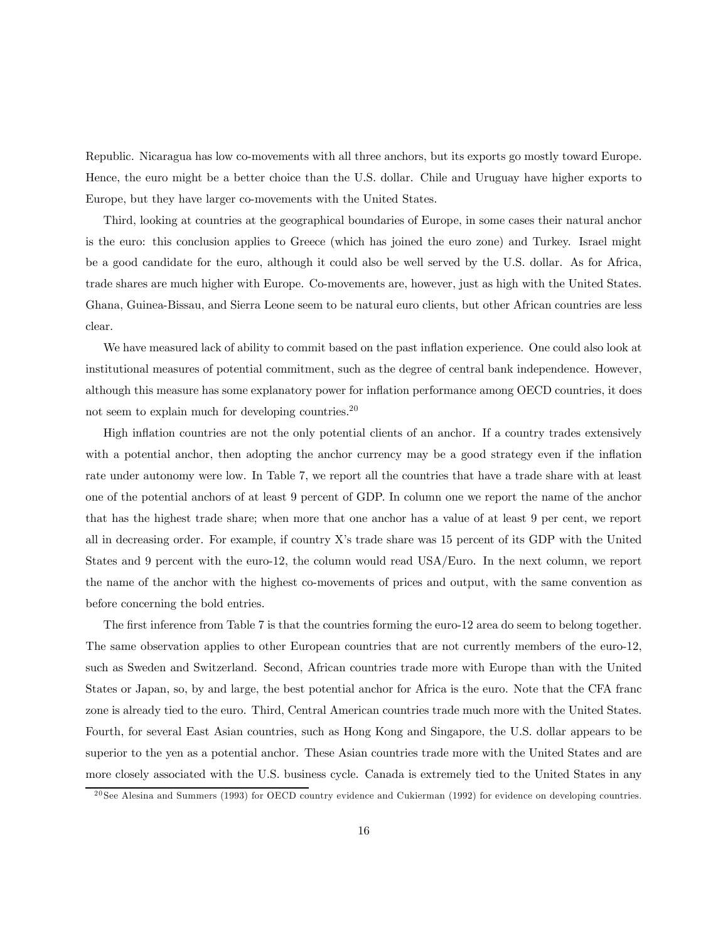Republic. Nicaragua has low co-movements with all three anchors, but its exports go mostly toward Europe. Hence, the euro might be a better choice than the U.S. dollar. Chile and Uruguay have higher exports to Europe, but they have larger co-movements with the United States.

Third, looking at countries at the geographical boundaries of Europe, in some cases their natural anchor is the euro: this conclusion applies to Greece (which has joined the euro zone) and Turkey. Israel might be a good candidate for the euro, although it could also be well served by the U.S. dollar. As for Africa, trade shares are much higher with Europe. Co-movements are, however, just as high with the United States. Ghana, Guinea-Bissau, and Sierra Leone seem to be natural euro clients, but other African countries are less clear.

We have measured lack of ability to commit based on the past inflation experience. One could also look at institutional measures of potential commitment, such as the degree of central bank independence. However, although this measure has some explanatory power for inflation performance among OECD countries, it does not seem to explain much for developing countries.20

High inflation countries are not the only potential clients of an anchor. If a country trades extensively with a potential anchor, then adopting the anchor currency may be a good strategy even if the inflation rate under autonomy were low. In Table 7, we report all the countries that have a trade share with at least one of the potential anchors of at least 9 percent of GDP. In column one we report the name of the anchor that has the highest trade share; when more that one anchor has a value of at least 9 per cent, we report all in decreasing order. For example, if country X's trade share was 15 percent of its GDP with the United States and 9 percent with the euro-12, the column would read USA/Euro. In the next column, we report the name of the anchor with the highest co-movements of prices and output, with the same convention as before concerning the bold entries.

The first inference from Table 7 is that the countries forming the euro-12 area do seem to belong together. The same observation applies to other European countries that are not currently members of the euro-12, such as Sweden and Switzerland. Second, African countries trade more with Europe than with the United States or Japan, so, by and large, the best potential anchor for Africa is the euro. Note that the CFA franc zone is already tied to the euro. Third, Central American countries trade much more with the United States. Fourth, for several East Asian countries, such as Hong Kong and Singapore, the U.S. dollar appears to be superior to the yen as a potential anchor. These Asian countries trade more with the United States and are more closely associated with the U.S. business cycle. Canada is extremely tied to the United States in any

<sup>&</sup>lt;sup>20</sup> See Alesina and Summers (1993) for OECD country evidence and Cukierman (1992) for evidence on developing countries.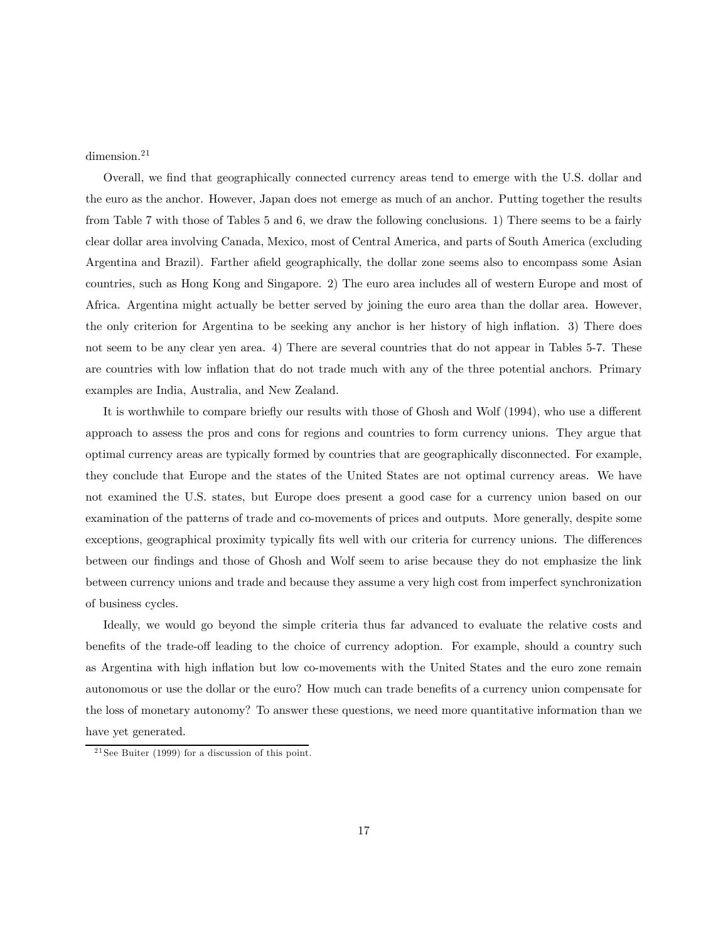## dimension.<sup>21</sup>

Overall, we find that geographically connected currency areas tend to emerge with the U.S. dollar and the euro as the anchor. However, Japan does not emerge as much of an anchor. Putting together the results from Table 7 with those of Tables 5 and 6, we draw the following conclusions. 1) There seems to be a fairly clear dollar area involving Canada, Mexico, most of Central America, and parts of South America (excluding Argentina and Brazil). Farther afield geographically, the dollar zone seems also to encompass some Asian countries, such as Hong Kong and Singapore. 2) The euro area includes all of western Europe and most of Africa. Argentina might actually be better served by joining the euro area than the dollar area. However, the only criterion for Argentina to be seeking any anchor is her history of high inflation. 3) There does not seem to be any clear yen area. 4) There are several countries that do not appear in Tables 5-7. These are countries with low inflation that do not trade much with any of the three potential anchors. Primary examples are India, Australia, and New Zealand.

It is worthwhile to compare briefly our results with those of Ghosh and Wolf (1994), who use a different approach to assess the pros and cons for regions and countries to form currency unions. They argue that optimal currency areas are typically formed by countries that are geographically disconnected. For example, they conclude that Europe and the states of the United States are not optimal currency areas. We have not examined the U.S. states, but Europe does present a good case for a currency union based on our examination of the patterns of trade and co-movements of prices and outputs. More generally, despite some exceptions, geographical proximity typically fits well with our criteria for currency unions. The differences between our findings and those of Ghosh and Wolf seem to arise because they do not emphasize the link between currency unions and trade and because they assume a very high cost from imperfect synchronization of business cycles.

Ideally, we would go beyond the simple criteria thus far advanced to evaluate the relative costs and benefits of the trade-off leading to the choice of currency adoption. For example, should a country such as Argentina with high inflation but low co-movements with the United States and the euro zone remain autonomous or use the dollar or the euro? How much can trade benefits of a currency union compensate for the loss of monetary autonomy? To answer these questions, we need more quantitative information than we have yet generated.

 $21$  See Buiter (1999) for a discussion of this point.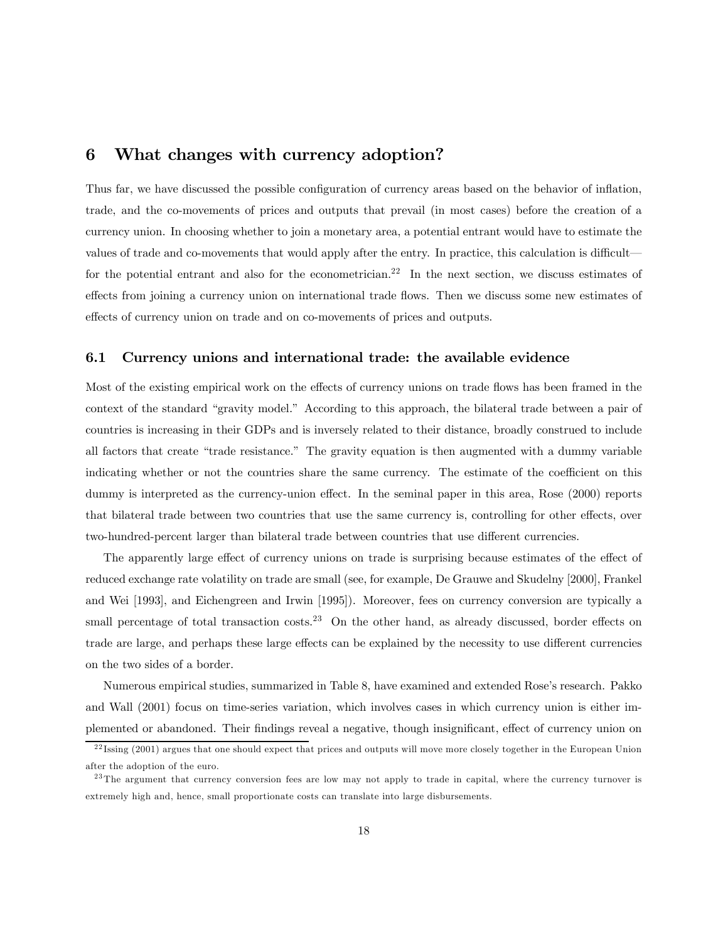# 6 What changes with currency adoption?

Thus far, we have discussed the possible configuration of currency areas based on the behavior of inflation, trade, and the co-movements of prices and outputs that prevail (in most cases) before the creation of a currency union. In choosing whether to join a monetary area, a potential entrant would have to estimate the values of trade and co-movements that would apply after the entry. In practice, this calculation is difficult– for the potential entrant and also for the econometrician.<sup>22</sup> In the next section, we discuss estimates of effects from joining a currency union on international trade flows. Then we discuss some new estimates of effects of currency union on trade and on co-movements of prices and outputs.

#### 6.1 Currency unions and international trade: the available evidence

Most of the existing empirical work on the effects of currency unions on trade flows has been framed in the context of the standard "gravity model." According to this approach, the bilateral trade between a pair of countries is increasing in their GDPs and is inversely related to their distance, broadly construed to include all factors that create "trade resistance." The gravity equation is then augmented with a dummy variable indicating whether or not the countries share the same currency. The estimate of the coefficient on this dummy is interpreted as the currency-union effect. In the seminal paper in this area, Rose (2000) reports that bilateral trade between two countries that use the same currency is, controlling for other effects, over two-hundred-percent larger than bilateral trade between countries that use different currencies.

The apparently large effect of currency unions on trade is surprising because estimates of the effect of reduced exchange rate volatility on trade are small (see, for example, De Grauwe and Skudelny [2000], Frankel and Wei [1993], and Eichengreen and Irwin [1995]). Moreover, fees on currency conversion are typically a small percentage of total transaction costs.<sup>23</sup> On the other hand, as already discussed, border effects on trade are large, and perhaps these large effects can be explained by the necessity to use different currencies on the two sides of a border.

Numerous empirical studies, summarized in Table 8, have examined and extended Rose's research. Pakko and Wall (2001) focus on time-series variation, which involves cases in which currency union is either implemented or abandoned. Their findings reveal a negative, though insignificant, effect of currency union on

 $^{22}$ Issing (2001) argues that one should expect that prices and outputs will move more closely together in the European Union after the adoption of the euro.

 $23$ The argument that currency conversion fees are low may not apply to trade in capital, where the currency turnover is extremely high and, hence, small proportionate costs can translate into large disbursements.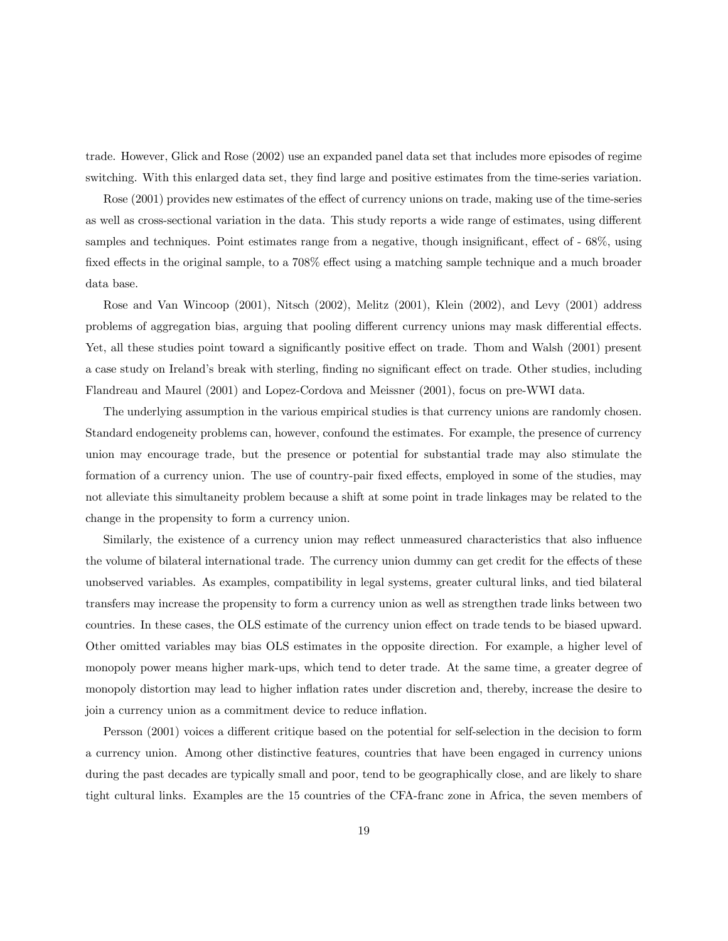trade. However, Glick and Rose (2002) use an expanded panel data set that includes more episodes of regime switching. With this enlarged data set, they find large and positive estimates from the time-series variation.

Rose (2001) provides new estimates of the effect of currency unions on trade, making use of the time-series as well as cross-sectional variation in the data. This study reports a wide range of estimates, using different samples and techniques. Point estimates range from a negative, though insignificant, effect of - 68%, using fixed effects in the original sample, to a 708% effect using a matching sample technique and a much broader data base.

Rose and Van Wincoop (2001), Nitsch (2002), Melitz (2001), Klein (2002), and Levy (2001) address problems of aggregation bias, arguing that pooling different currency unions may mask differential effects. Yet, all these studies point toward a significantly positive effect on trade. Thom and Walsh (2001) present a case study on Ireland's break with sterling, finding no significant effect on trade. Other studies, including Flandreau and Maurel (2001) and Lopez-Cordova and Meissner (2001), focus on pre-WWI data.

The underlying assumption in the various empirical studies is that currency unions are randomly chosen. Standard endogeneity problems can, however, confound the estimates. For example, the presence of currency union may encourage trade, but the presence or potential for substantial trade may also stimulate the formation of a currency union. The use of country-pair fixed effects, employed in some of the studies, may not alleviate this simultaneity problem because a shift at some point in trade linkages may be related to the change in the propensity to form a currency union.

Similarly, the existence of a currency union may reflect unmeasured characteristics that also influence the volume of bilateral international trade. The currency union dummy can get credit for the effects of these unobserved variables. As examples, compatibility in legal systems, greater cultural links, and tied bilateral transfers may increase the propensity to form a currency union as well as strengthen trade links between two countries. In these cases, the OLS estimate of the currency union effect on trade tends to be biased upward. Other omitted variables may bias OLS estimates in the opposite direction. For example, a higher level of monopoly power means higher mark-ups, which tend to deter trade. At the same time, a greater degree of monopoly distortion may lead to higher inflation rates under discretion and, thereby, increase the desire to join a currency union as a commitment device to reduce inflation.

Persson (2001) voices a different critique based on the potential for self-selection in the decision to form a currency union. Among other distinctive features, countries that have been engaged in currency unions during the past decades are typically small and poor, tend to be geographically close, and are likely to share tight cultural links. Examples are the 15 countries of the CFA-franc zone in Africa, the seven members of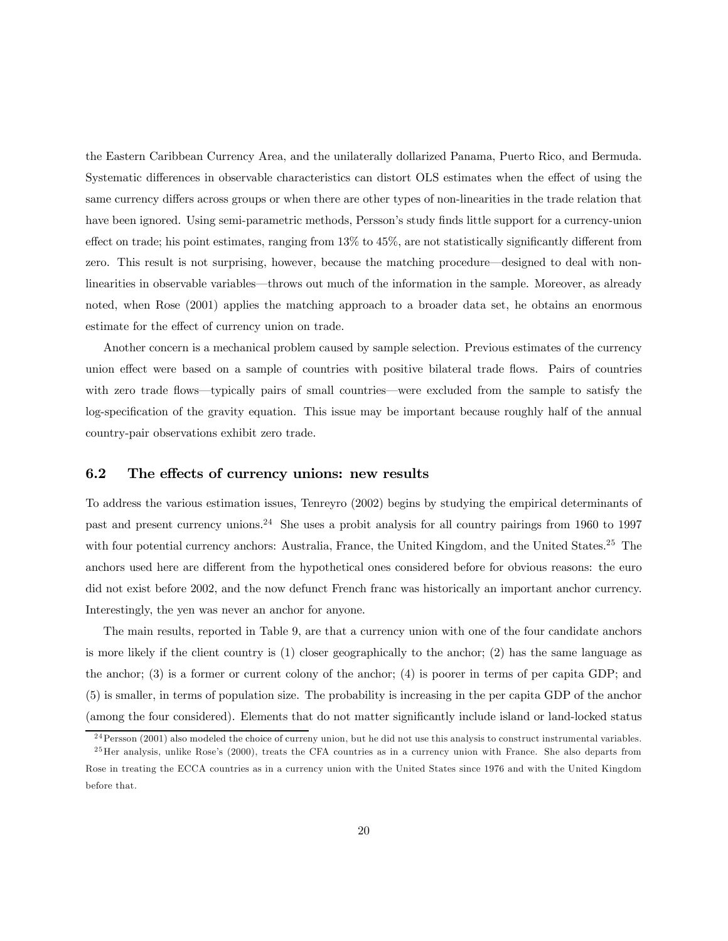the Eastern Caribbean Currency Area, and the unilaterally dollarized Panama, Puerto Rico, and Bermuda. Systematic differences in observable characteristics can distort OLS estimates when the effect of using the same currency differs across groups or when there are other types of non-linearities in the trade relation that have been ignored. Using semi-parametric methods, Persson's study finds little support for a currency-union effect on trade; his point estimates, ranging from 13% to 45%, are not statistically significantly different from zero. This result is not surprising, however, because the matching procedure–designed to deal with nonlinearities in observable variables–throws out much of the information in the sample. Moreover, as already noted, when Rose (2001) applies the matching approach to a broader data set, he obtains an enormous estimate for the effect of currency union on trade.

Another concern is a mechanical problem caused by sample selection. Previous estimates of the currency union effect were based on a sample of countries with positive bilateral trade flows. Pairs of countries with zero trade flows—typically pairs of small countries—were excluded from the sample to satisfy the log-specification of the gravity equation. This issue may be important because roughly half of the annual country-pair observations exhibit zero trade.

#### 6.2 The effects of currency unions: new results

To address the various estimation issues, Tenreyro (2002) begins by studying the empirical determinants of past and present currency unions.24 She uses a probit analysis for all country pairings from 1960 to 1997 with four potential currency anchors: Australia, France, the United Kingdom, and the United States.<sup>25</sup> The anchors used here are different from the hypothetical ones considered before for obvious reasons: the euro did not exist before 2002, and the now defunct French franc was historically an important anchor currency. Interestingly, the yen was never an anchor for anyone.

The main results, reported in Table 9, are that a currency union with one of the four candidate anchors is more likely if the client country is (1) closer geographically to the anchor; (2) has the same language as the anchor; (3) is a former or current colony of the anchor; (4) is poorer in terms of per capita GDP; and (5) is smaller, in terms of population size. The probability is increasing in the per capita GDP of the anchor (among the four considered). Elements that do not matter significantly include island or land-locked status

 $24$ Persson (2001) also modeled the choice of curreny union, but he did not use this analysis to construct instrumental variables.  $^{25}$ Her analysis, unlike Rose's (2000), treats the CFA countries as in a currency union with France. She also departs from

Rose in treating the ECCA countries as in a currency union with the United States since 1976 and with the United Kingdom before that.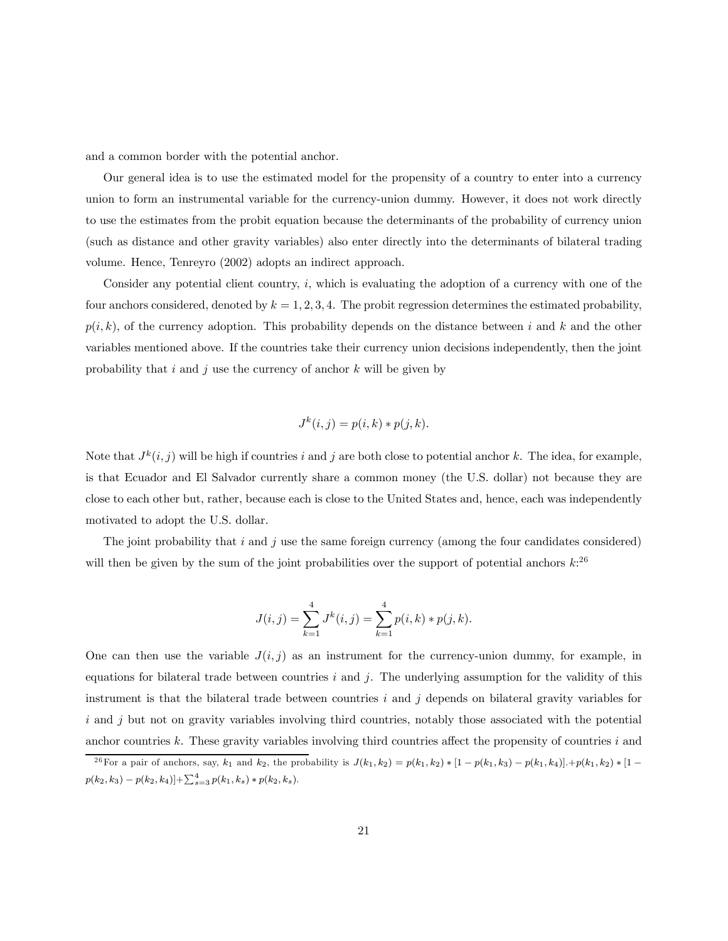and a common border with the potential anchor.

Our general idea is to use the estimated model for the propensity of a country to enter into a currency union to form an instrumental variable for the currency-union dummy. However, it does not work directly to use the estimates from the probit equation because the determinants of the probability of currency union (such as distance and other gravity variables) also enter directly into the determinants of bilateral trading volume. Hence, Tenreyro (2002) adopts an indirect approach.

Consider any potential client country, i, which is evaluating the adoption of a currency with one of the four anchors considered, denoted by  $k = 1, 2, 3, 4$ . The probit regression determines the estimated probability,  $p(i, k)$ , of the currency adoption. This probability depends on the distance between i and k and the other variables mentioned above. If the countries take their currency union decisions independently, then the joint probability that i and j use the currency of anchor  $k$  will be given by

$$
J^k(i,j) = p(i,k) * p(j,k).
$$

Note that  $J^k(i, j)$  will be high if countries i and j are both close to potential anchor k. The idea, for example, is that Ecuador and El Salvador currently share a common money (the U.S. dollar) not because they are close to each other but, rather, because each is close to the United States and, hence, each was independently motivated to adopt the U.S. dollar.

The joint probability that  $i$  and  $j$  use the same foreign currency (among the four candidates considered) will then be given by the sum of the joint probabilities over the support of potential anchors  $k:^{26}$ 

$$
J(i,j) = \sum_{k=1}^{4} J^{k}(i,j) = \sum_{k=1}^{4} p(i,k) * p(j,k).
$$

One can then use the variable  $J(i, j)$  as an instrument for the currency-union dummy, for example, in equations for bilateral trade between countries i and j. The underlying assumption for the validity of this instrument is that the bilateral trade between countries  $i$  and  $j$  depends on bilateral gravity variables for i and j but not on gravity variables involving third countries, notably those associated with the potential anchor countries  $k$ . These gravity variables involving third countries affect the propensity of countries  $i$  and

<sup>&</sup>lt;sup>26</sup>For a pair of anchors, say,  $k_1$  and  $k_2$ , the probability is  $J(k_1, k_2) = p(k_1, k_2) * [1 - p(k_1, k_3) - p(k_1, k_4)] \cdot + p(k_1, k_2) * [1 - p(k_1, k_3) - p(k_1, k_4)] \cdot$  $p(k_2, k_3) - p(k_2, k_4)] + \sum_{s=3}^{4} p(k_1, k_s) * p(k_2, k_s).$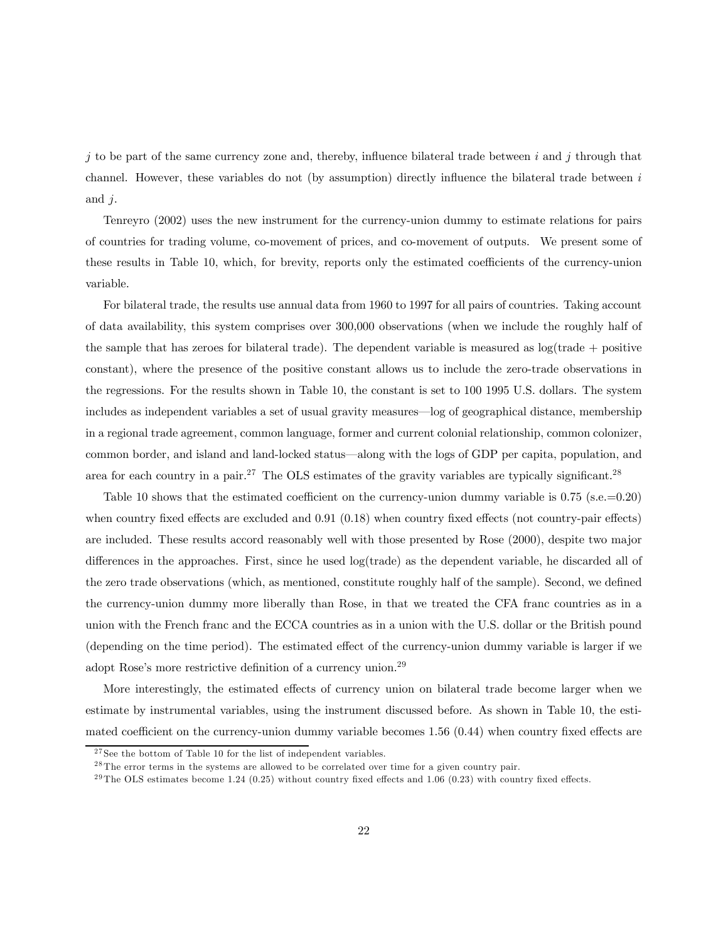j to be part of the same currency zone and, thereby, influence bilateral trade between  $i$  and j through that channel. However, these variables do not (by assumption) directly influence the bilateral trade between  $i$ and  $j$ .

Tenreyro (2002) uses the new instrument for the currency-union dummy to estimate relations for pairs of countries for trading volume, co-movement of prices, and co-movement of outputs. We present some of these results in Table 10, which, for brevity, reports only the estimated coefficients of the currency-union variable.

For bilateral trade, the results use annual data from 1960 to 1997 for all pairs of countries. Taking account of data availability, this system comprises over 300,000 observations (when we include the roughly half of the sample that has zeroes for bilateral trade). The dependent variable is measured as  $log(t \cdot \text{rad}) + positive$ constant), where the presence of the positive constant allows us to include the zero-trade observations in the regressions. For the results shown in Table 10, the constant is set to 100 1995 U.S. dollars. The system includes as independent variables a set of usual gravity measures–log of geographical distance, membership in a regional trade agreement, common language, former and current colonial relationship, common colonizer, common border, and island and land-locked status–along with the logs of GDP per capita, population, and area for each country in a pair.<sup>27</sup> The OLS estimates of the gravity variables are typically significant.<sup>28</sup>

Table 10 shows that the estimated coefficient on the currency-union dummy variable is 0.75 (s.e.=0.20) when country fixed effects are excluded and 0.91 (0.18) when country fixed effects (not country-pair effects) are included. These results accord reasonably well with those presented by Rose (2000), despite two major differences in the approaches. First, since he used log(trade) as the dependent variable, he discarded all of the zero trade observations (which, as mentioned, constitute roughly half of the sample). Second, we defined the currency-union dummy more liberally than Rose, in that we treated the CFA franc countries as in a union with the French franc and the ECCA countries as in a union with the U.S. dollar or the British pound (depending on the time period). The estimated effect of the currency-union dummy variable is larger if we adopt Rose's more restrictive definition of a currency union.<sup>29</sup>

More interestingly, the estimated effects of currency union on bilateral trade become larger when we estimate by instrumental variables, using the instrument discussed before. As shown in Table 10, the estimated coefficient on the currency-union dummy variable becomes 1.56 (0.44) when country fixed effects are

 $27$  See the bottom of Table 10 for the list of independent variables.

<sup>&</sup>lt;sup>28</sup>The error terms in the systems are allowed to be correlated over time for a given country pair.

<sup>&</sup>lt;sup>29</sup>The OLS estimates become 1.24 (0.25) without country fixed effects and 1.06 (0.23) with country fixed effects.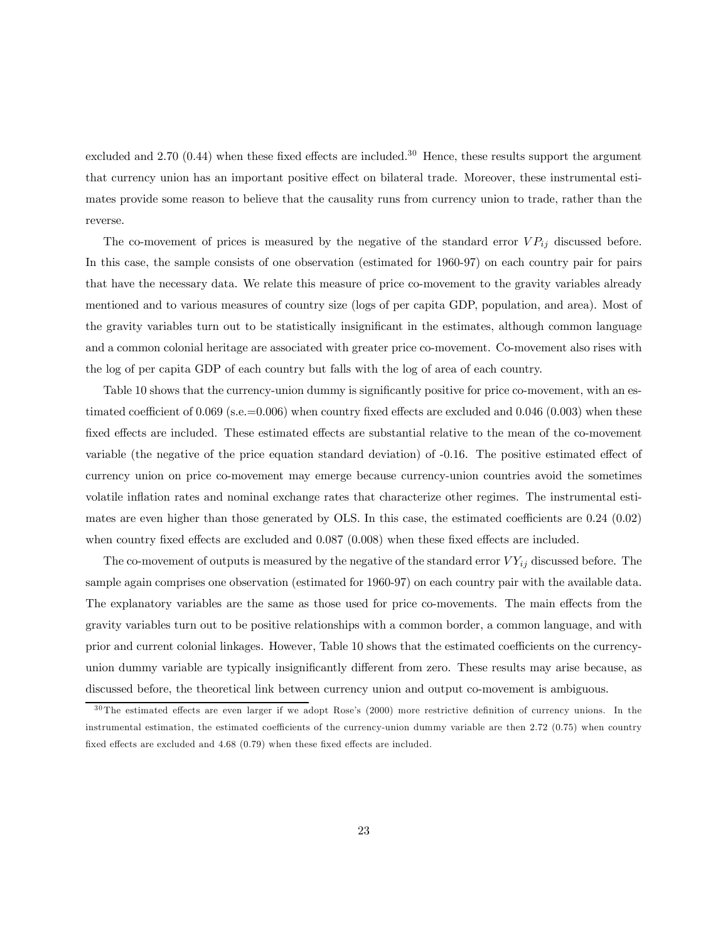excluded and 2.70 (0.44) when these fixed effects are included.<sup>30</sup> Hence, these results support the argument that currency union has an important positive effect on bilateral trade. Moreover, these instrumental estimates provide some reason to believe that the causality runs from currency union to trade, rather than the reverse.

The co-movement of prices is measured by the negative of the standard error  $VP_{ij}$  discussed before. In this case, the sample consists of one observation (estimated for 1960-97) on each country pair for pairs that have the necessary data. We relate this measure of price co-movement to the gravity variables already mentioned and to various measures of country size (logs of per capita GDP, population, and area). Most of the gravity variables turn out to be statistically insignificant in the estimates, although common language and a common colonial heritage are associated with greater price co-movement. Co-movement also rises with the log of per capita GDP of each country but falls with the log of area of each country.

Table 10 shows that the currency-union dummy is significantly positive for price co-movement, with an estimated coefficient of 0.069 (s.e.=0.006) when country fixed effects are excluded and 0.046 (0.003) when these fixed effects are included. These estimated effects are substantial relative to the mean of the co-movement variable (the negative of the price equation standard deviation) of -0.16. The positive estimated effect of currency union on price co-movement may emerge because currency-union countries avoid the sometimes volatile inflation rates and nominal exchange rates that characterize other regimes. The instrumental estimates are even higher than those generated by OLS. In this case, the estimated coefficients are 0.24 (0.02) when country fixed effects are excluded and  $0.087$  (0.008) when these fixed effects are included.

The co-movement of outputs is measured by the negative of the standard error  $VY_{ij}$  discussed before. The sample again comprises one observation (estimated for 1960-97) on each country pair with the available data. The explanatory variables are the same as those used for price co-movements. The main effects from the gravity variables turn out to be positive relationships with a common border, a common language, and with prior and current colonial linkages. However, Table 10 shows that the estimated coefficients on the currencyunion dummy variable are typically insignificantly different from zero. These results may arise because, as discussed before, the theoretical link between currency union and output co-movement is ambiguous.

 $30$ The estimated effects are even larger if we adopt Rose's (2000) more restrictive definition of currency unions. In the instrumental estimation, the estimated coefficients of the currency-union dummy variable are then 2.72 (0.75) when country fixed effects are excluded and 4.68 (0.79) when these fixed effects are included.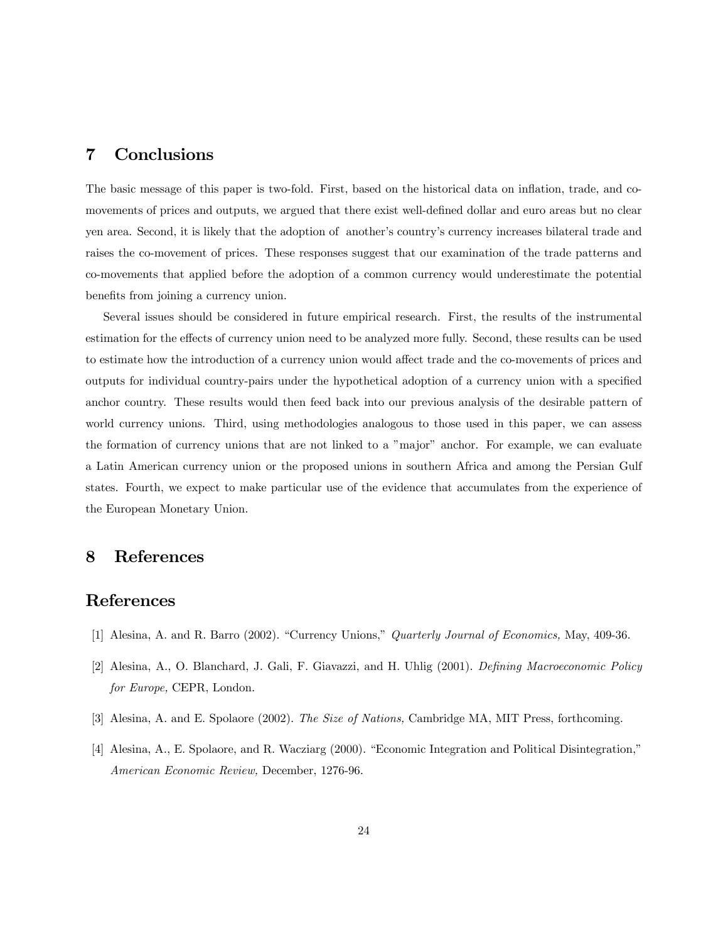## 7 Conclusions

The basic message of this paper is two-fold. First, based on the historical data on inflation, trade, and comovements of prices and outputs, we argued that there exist well-defined dollar and euro areas but no clear yen area. Second, it is likely that the adoption of another's country's currency increases bilateral trade and raises the co-movement of prices. These responses suggest that our examination of the trade patterns and co-movements that applied before the adoption of a common currency would underestimate the potential benefits from joining a currency union.

Several issues should be considered in future empirical research. First, the results of the instrumental estimation for the effects of currency union need to be analyzed more fully. Second, these results can be used to estimate how the introduction of a currency union would affect trade and the co-movements of prices and outputs for individual country-pairs under the hypothetical adoption of a currency union with a specified anchor country. These results would then feed back into our previous analysis of the desirable pattern of world currency unions. Third, using methodologies analogous to those used in this paper, we can assess the formation of currency unions that are not linked to a "major" anchor. For example, we can evaluate a Latin American currency union or the proposed unions in southern Africa and among the Persian Gulf states. Fourth, we expect to make particular use of the evidence that accumulates from the experience of the European Monetary Union.

# 8 References

# References

- [1] Alesina, A. and R. Barro (2002). "Currency Unions," Quarterly Journal of Economics, May, 409-36.
- [2] Alesina, A., O. Blanchard, J. Gali, F. Giavazzi, and H. Uhlig (2001). Defining Macroeconomic Policy for Europe, CEPR, London.
- [3] Alesina, A. and E. Spolaore (2002). The Size of Nations, Cambridge MA, MIT Press, forthcoming.
- [4] Alesina, A., E. Spolaore, and R. Wacziarg (2000). "Economic Integration and Political Disintegration," American Economic Review, December, 1276-96.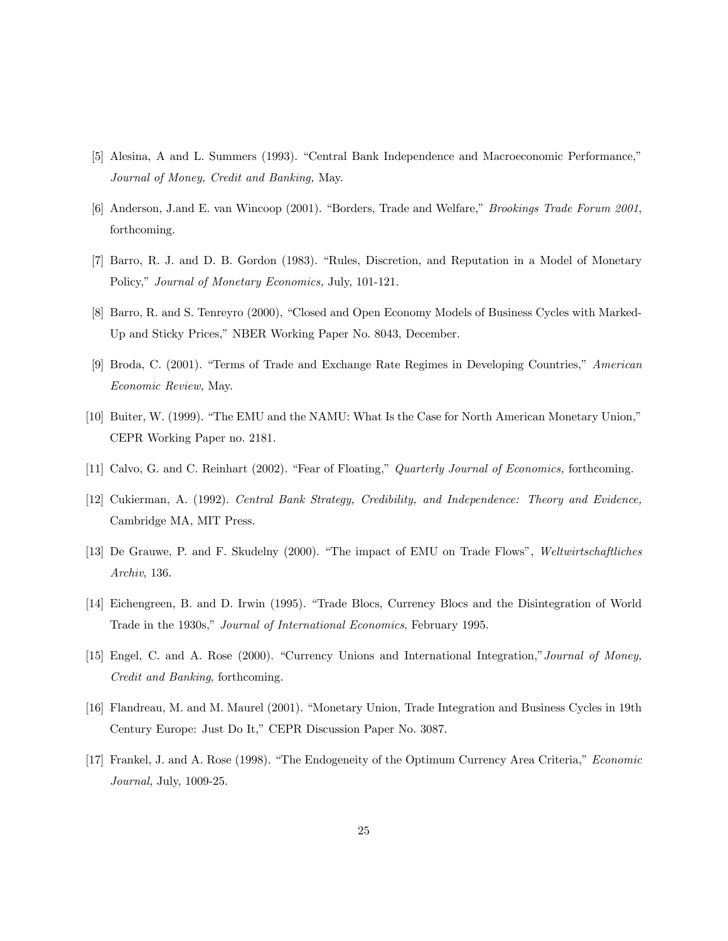- [5] Alesina, A and L. Summers (1993). "Central Bank Independence and Macroeconomic Performance," Journal of Money, Credit and Banking, May.
- [6] Anderson, J.and E. van Wincoop (2001). "Borders, Trade and Welfare," Brookings Trade Forum 2001, forthcoming.
- [7] Barro, R. J. and D. B. Gordon (1983). "Rules, Discretion, and Reputation in a Model of Monetary Policy," Journal of Monetary Economics, July, 101-121.
- [8] Barro, R. and S. Tenreyro (2000), "Closed and Open Economy Models of Business Cycles with Marked-Up and Sticky Prices," NBER Working Paper No. 8043, December.
- [9] Broda, C. (2001). "Terms of Trade and Exchange Rate Regimes in Developing Countries," American Economic Review, May.
- [10] Buiter, W. (1999). "The EMU and the NAMU: What Is the Case for North American Monetary Union," CEPR Working Paper no. 2181.
- [11] Calvo, G. and C. Reinhart (2002). "Fear of Floating," Quarterly Journal of Economics, forthcoming.
- [12] Cukierman, A. (1992). Central Bank Strategy, Credibility, and Independence: Theory and Evidence, Cambridge MA, MIT Press.
- [13] De Grauwe, P. and F. Skudelny (2000). "The impact of EMU on Trade Flows", Weltwirtschaftliches Archiv, 136.
- [14] Eichengreen, B. and D. Irwin (1995). "Trade Blocs, Currency Blocs and the Disintegration of World Trade in the 1930s," Journal of International Economics, February 1995.
- [15] Engel, C. and A. Rose (2000). "Currency Unions and International Integration,"Journal of Money, Credit and Banking, forthcoming.
- [16] Flandreau, M. and M. Maurel (2001). "Monetary Union, Trade Integration and Business Cycles in 19th Century Europe: Just Do It," CEPR Discussion Paper No. 3087.
- [17] Frankel, J. and A. Rose (1998). "The Endogeneity of the Optimum Currency Area Criteria," Economic Journal, July, 1009-25.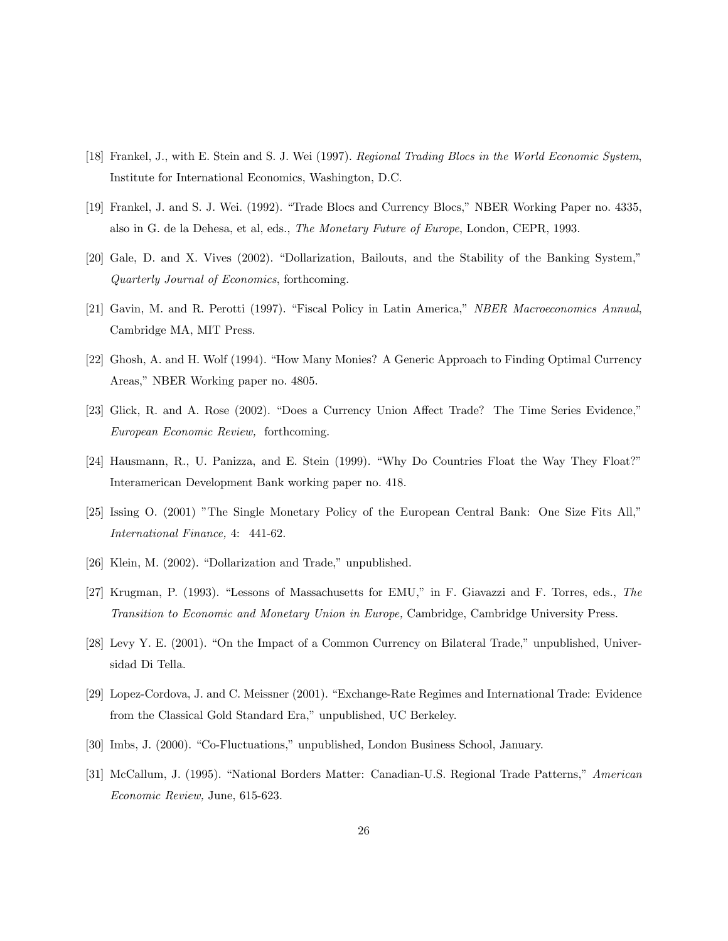- [18] Frankel, J., with E. Stein and S. J. Wei (1997). Regional Trading Blocs in the World Economic System, Institute for International Economics, Washington, D.C.
- [19] Frankel, J. and S. J. Wei. (1992). "Trade Blocs and Currency Blocs," NBER Working Paper no. 4335, also in G. de la Dehesa, et al, eds., The Monetary Future of Europe, London, CEPR, 1993.
- [20] Gale, D. and X. Vives (2002). "Dollarization, Bailouts, and the Stability of the Banking System," Quarterly Journal of Economics, forthcoming.
- [21] Gavin, M. and R. Perotti (1997). "Fiscal Policy in Latin America," NBER Macroeconomics Annual, Cambridge MA, MIT Press.
- [22] Ghosh, A. and H. Wolf (1994). "How Many Monies? A Generic Approach to Finding Optimal Currency Areas," NBER Working paper no. 4805.
- [23] Glick, R. and A. Rose (2002). "Does a Currency Union Affect Trade? The Time Series Evidence," European Economic Review, forthcoming.
- [24] Hausmann, R., U. Panizza, and E. Stein (1999). "Why Do Countries Float the Way They Float?" Interamerican Development Bank working paper no. 418.
- [25] Issing O. (2001) "The Single Monetary Policy of the European Central Bank: One Size Fits All," International Finance, 4: 441-62.
- [26] Klein, M. (2002). "Dollarization and Trade," unpublished.
- [27] Krugman, P. (1993). "Lessons of Massachusetts for EMU," in F. Giavazzi and F. Torres, eds., The Transition to Economic and Monetary Union in Europe, Cambridge, Cambridge University Press.
- [28] Levy Y. E. (2001). "On the Impact of a Common Currency on Bilateral Trade," unpublished, Universidad Di Tella.
- [29] Lopez-Cordova, J. and C. Meissner (2001). "Exchange-Rate Regimes and International Trade: Evidence from the Classical Gold Standard Era," unpublished, UC Berkeley.
- [30] Imbs, J. (2000). "Co-Fluctuations," unpublished, London Business School, January.
- [31] McCallum, J. (1995). "National Borders Matter: Canadian-U.S. Regional Trade Patterns," American Economic Review, June, 615-623.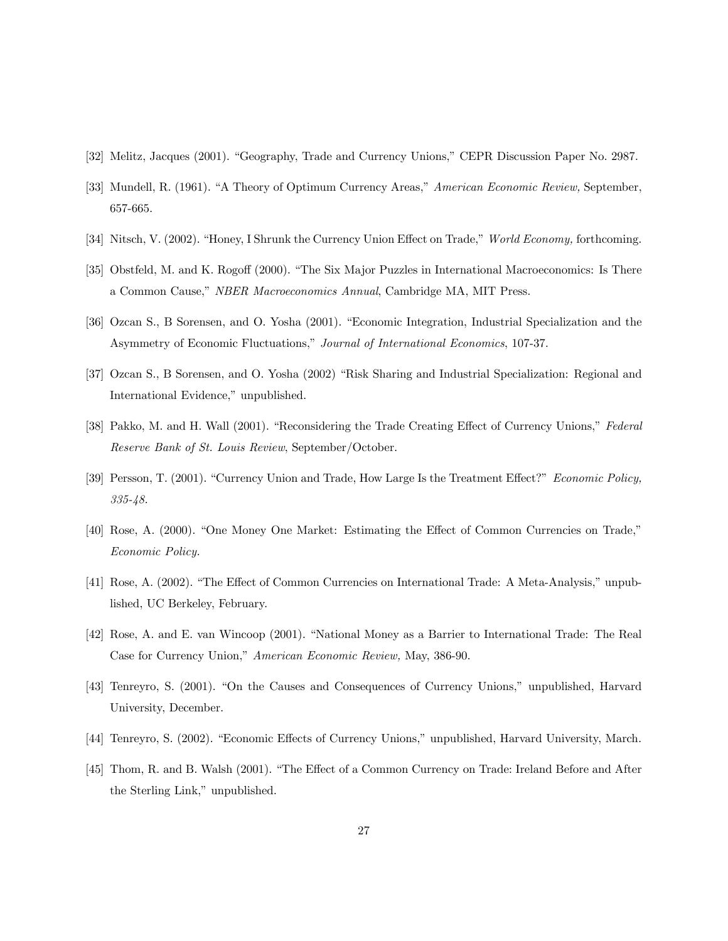- [32] Melitz, Jacques (2001). "Geography, Trade and Currency Unions," CEPR Discussion Paper No. 2987.
- [33] Mundell, R. (1961). "A Theory of Optimum Currency Areas," American Economic Review, September, 657-665.
- [34] Nitsch, V. (2002). "Honey, I Shrunk the Currency Union Effect on Trade," World Economy, forthcoming.
- [35] Obstfeld, M. and K. Rogoff (2000). "The Six Major Puzzles in International Macroeconomics: Is There a Common Cause," NBER Macroeconomics Annual, Cambridge MA, MIT Press.
- [36] Ozcan S., B Sorensen, and O. Yosha (2001). "Economic Integration, Industrial Specialization and the Asymmetry of Economic Fluctuations," Journal of International Economics, 107-37.
- [37] Ozcan S., B Sorensen, and O. Yosha (2002) "Risk Sharing and Industrial Specialization: Regional and International Evidence," unpublished.
- [38] Pakko, M. and H. Wall (2001). "Reconsidering the Trade Creating Effect of Currency Unions," Federal Reserve Bank of St. Louis Review, September/October.
- [39] Persson, T. (2001). "Currency Union and Trade, How Large Is the Treatment Effect?" Economic Policy, 335-48.
- [40] Rose, A. (2000). "One Money One Market: Estimating the Effect of Common Currencies on Trade," Economic Policy.
- [41] Rose, A. (2002). "The Effect of Common Currencies on International Trade: A Meta-Analysis," unpublished, UC Berkeley, February.
- [42] Rose, A. and E. van Wincoop (2001). "National Money as a Barrier to International Trade: The Real Case for Currency Union," American Economic Review, May, 386-90.
- [43] Tenreyro, S. (2001). "On the Causes and Consequences of Currency Unions," unpublished, Harvard University, December.
- [44] Tenreyro, S. (2002). "Economic Effects of Currency Unions," unpublished, Harvard University, March.
- [45] Thom, R. and B. Walsh (2001). "The Effect of a Common Currency on Trade: Ireland Before and After the Sterling Link," unpublished.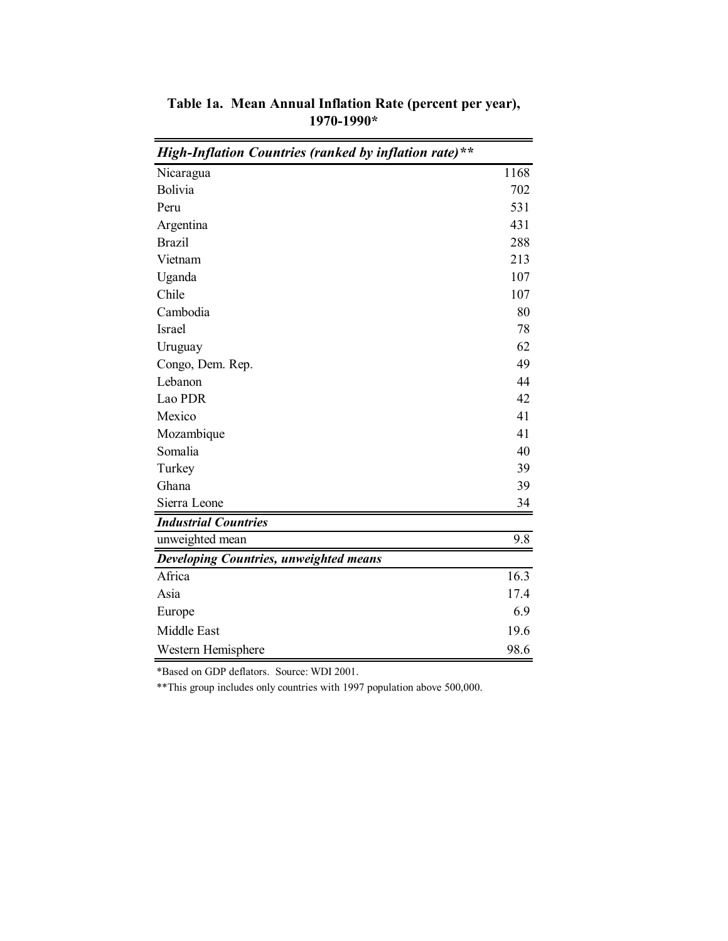| High-Inflation Countries (ranked by inflation rate)** |      |
|-------------------------------------------------------|------|
| Nicaragua                                             | 1168 |
| Bolivia                                               | 702  |
| Peru                                                  | 531  |
| Argentina                                             | 431  |
| <b>Brazil</b>                                         | 288  |
| Vietnam                                               | 213  |
| Uganda                                                | 107  |
| Chile                                                 | 107  |
| Cambodia                                              | 80   |
| Israel                                                | 78   |
| Uruguay                                               | 62   |
| Congo, Dem. Rep.                                      | 49   |
| Lebanon                                               | 44   |
| Lao PDR                                               | 42   |
| Mexico                                                | 41   |
| Mozambique                                            | 41   |
| Somalia                                               | 40   |
| Turkey                                                | 39   |
| Ghana                                                 | 39   |
| Sierra Leone                                          | 34   |
| <b>Industrial Countries</b>                           |      |
| unweighted mean                                       | 9.8  |
| <b>Developing Countries, unweighted means</b>         |      |
| Africa                                                | 16.3 |
| Asia                                                  | 17.4 |
| Europe                                                | 6.9  |
| Middle East                                           | 19.6 |
| Western Hemisphere                                    | 98.6 |

**Table 1a. Mean Annual Inflation Rate (percent per year), 1970-1990\*** 

\*Based on GDP deflators. Source: WDI 2001.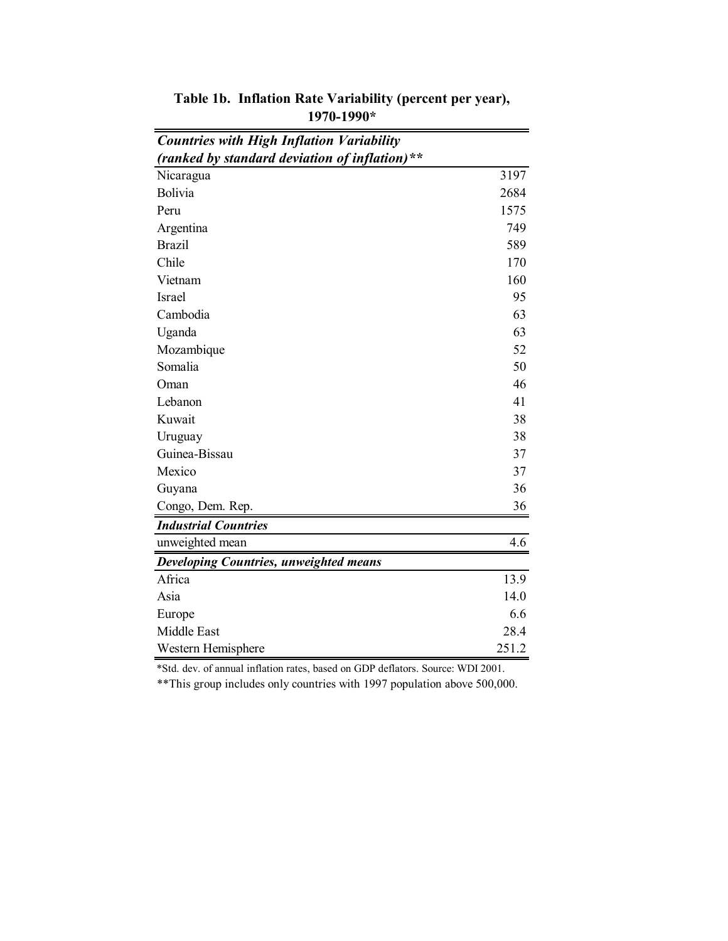| <b>Countries with High Inflation Variability</b> |       |
|--------------------------------------------------|-------|
| (ranked by standard deviation of inflation)**    |       |
| Nicaragua                                        | 3197  |
| <b>Bolivia</b>                                   | 2684  |
| Peru                                             | 1575  |
| Argentina                                        | 749   |
| <b>Brazil</b>                                    | 589   |
| Chile                                            | 170   |
| Vietnam                                          | 160   |
| Israel                                           | 95    |
| Cambodia                                         | 63    |
| Uganda                                           | 63    |
| Mozambique                                       | 52    |
| Somalia                                          | 50    |
| Oman                                             | 46    |
| Lebanon                                          | 41    |
| Kuwait                                           | 38    |
| Uruguay                                          | 38    |
| Guinea-Bissau                                    | 37    |
| Mexico                                           | 37    |
| Guyana                                           | 36    |
| Congo, Dem. Rep.                                 | 36    |
| <b>Industrial Countries</b>                      |       |
| unweighted mean                                  | 4.6   |
| <b>Developing Countries, unweighted means</b>    |       |
| Africa                                           | 13.9  |
| Asia                                             | 14.0  |
| Europe                                           | 6.6   |
| Middle East                                      | 28.4  |
| Western Hemisphere                               | 251.2 |

**Table 1b. Inflation Rate Variability (percent per year), 1970-1990\***

\*Std. dev. of annual inflation rates, based on GDP deflators. Source: WDI 2001.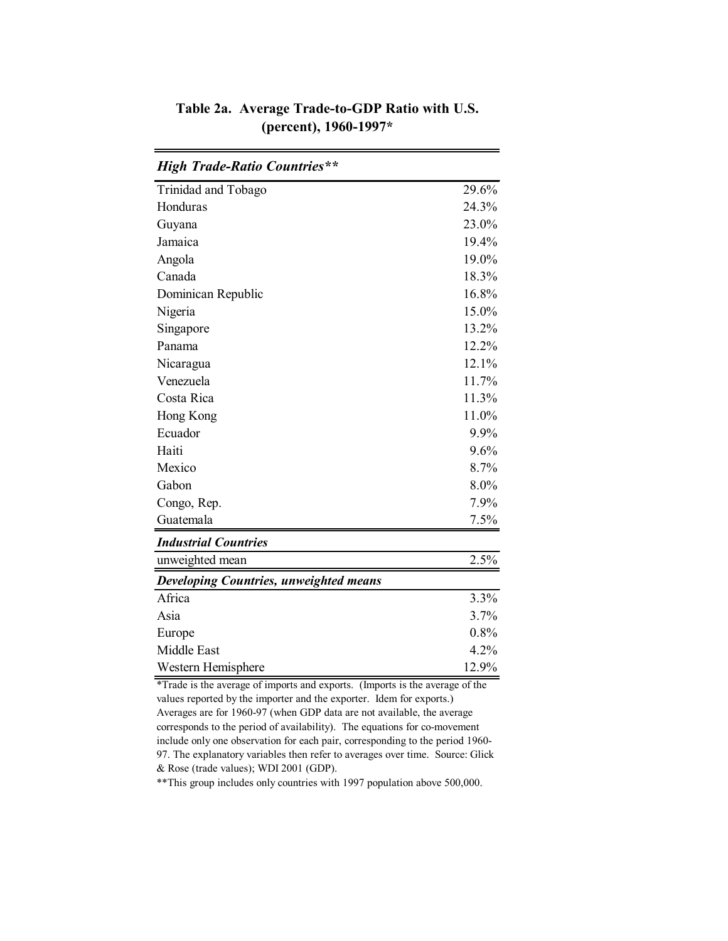| <b>High Trade-Ratio Countries**</b>           |       |
|-----------------------------------------------|-------|
| Trinidad and Tobago                           | 29.6% |
| Honduras                                      | 24.3% |
| Guyana                                        | 23.0% |
| Jamaica                                       | 19.4% |
| Angola                                        | 19.0% |
| Canada                                        | 18.3% |
| Dominican Republic                            | 16.8% |
| Nigeria                                       | 15.0% |
| Singapore                                     | 13.2% |
| Panama                                        | 12.2% |
| Nicaragua                                     | 12.1% |
| Venezuela                                     | 11.7% |
| Costa Rica                                    | 11.3% |
| Hong Kong                                     | 11.0% |
| Ecuador                                       | 9.9%  |
| Haiti                                         | 9.6%  |
| Mexico                                        | 8.7%  |
| Gabon                                         | 8.0%  |
| Congo, Rep.                                   | 7.9%  |
| Guatemala                                     | 7.5%  |
| <b>Industrial Countries</b>                   |       |
| unweighted mean                               | 2.5%  |
| <b>Developing Countries, unweighted means</b> |       |
| Africa                                        | 3.3%  |
| Asia                                          | 3.7%  |
| Europe                                        | 0.8%  |
| Middle East                                   | 4.2%  |
| Western Hemisphere                            | 12.9% |

**Table 2a. Average Trade-to-GDP Ratio with U.S. (percent), 1960-1997\***

\*Trade is the average of imports and exports. (Imports is the average of the values reported by the importer and the exporter. Idem for exports.) Averages are for 1960-97 (when GDP data are not available, the average corresponds to the period of availability). The equations for co-movement include only one observation for each pair, corresponding to the period 1960- 97. The explanatory variables then refer to averages over time. Source: Glick & Rose (trade values); WDI 2001 (GDP).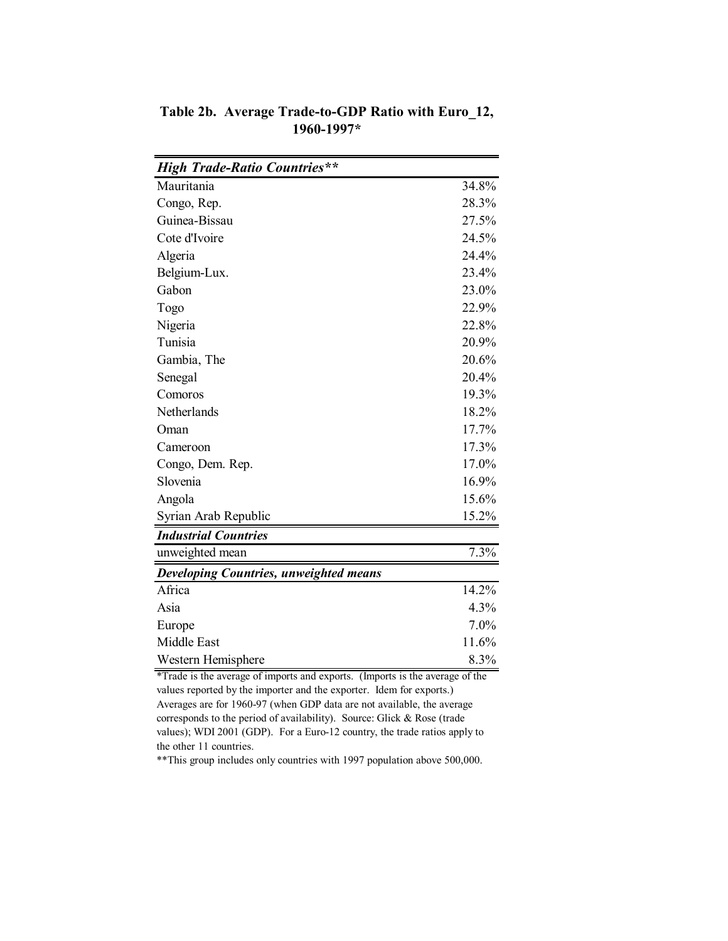| <b>High Trade-Ratio Countries**</b>           |       |
|-----------------------------------------------|-------|
| Mauritania                                    | 34.8% |
| Congo, Rep.                                   | 28.3% |
| Guinea-Bissau                                 | 27.5% |
| Cote d'Ivoire                                 | 24.5% |
| Algeria                                       | 24.4% |
| Belgium-Lux.                                  | 23.4% |
| Gabon                                         | 23.0% |
| Togo                                          | 22.9% |
| Nigeria                                       | 22.8% |
| Tunisia                                       | 20.9% |
| Gambia, The                                   | 20.6% |
| Senegal                                       | 20.4% |
| Comoros                                       | 19.3% |
| Netherlands                                   | 18.2% |
| Oman                                          | 17.7% |
| Cameroon                                      | 17.3% |
| Congo, Dem. Rep.                              | 17.0% |
| Slovenia                                      | 16.9% |
| Angola                                        | 15.6% |
| Syrian Arab Republic                          | 15.2% |
| <b>Industrial Countries</b>                   |       |
| unweighted mean                               | 7.3%  |
| <b>Developing Countries, unweighted means</b> |       |
| Africa                                        | 14.2% |
| Asia                                          | 4.3%  |
| Europe                                        | 7.0%  |
| Middle East                                   | 11.6% |
| Western Hemisphere                            | 8.3%  |

**Table 2b. Average Trade-to-GDP Ratio with Euro\_12, 1960-1997\***

\*Trade is the average of imports and exports. (Imports is the average of the values reported by the importer and the exporter. Idem for exports.) Averages are for 1960-97 (when GDP data are not available, the average corresponds to the period of availability). Source: Glick & Rose (trade values); WDI 2001 (GDP). For a Euro-12 country, the trade ratios apply to the other 11 countries.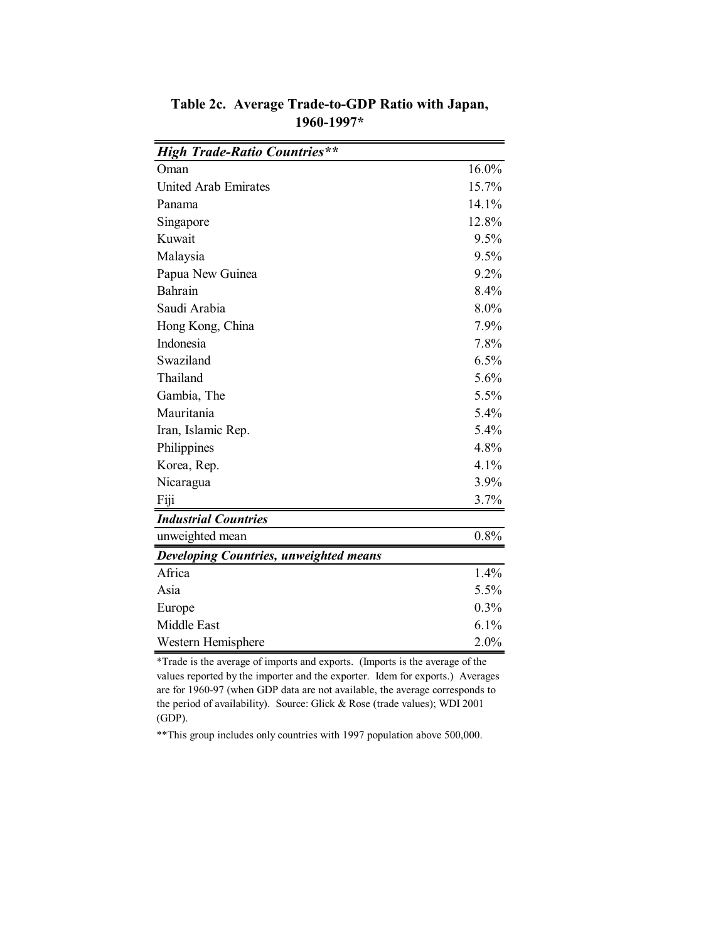| <b>High Trade-Ratio Countries**</b>           |          |
|-----------------------------------------------|----------|
| Oman                                          | $16.0\%$ |
| <b>United Arab Emirates</b>                   | 15.7%    |
| Panama                                        | 14.1%    |
| Singapore                                     | 12.8%    |
| Kuwait                                        | 9.5%     |
| Malaysia                                      | 9.5%     |
| Papua New Guinea                              | 9.2%     |
| Bahrain                                       | 8.4%     |
| Saudi Arabia                                  | 8.0%     |
| Hong Kong, China                              | 7.9%     |
| Indonesia                                     | 7.8%     |
| Swaziland                                     | 6.5%     |
| Thailand                                      | 5.6%     |
| Gambia, The                                   | 5.5%     |
| Mauritania                                    | 5.4%     |
| Iran, Islamic Rep.                            | 5.4%     |
| Philippines                                   | 4.8%     |
| Korea, Rep.                                   | 4.1%     |
| Nicaragua                                     | 3.9%     |
| Fiji                                          | 3.7%     |
| <b>Industrial Countries</b>                   |          |
| unweighted mean                               | 0.8%     |
| <b>Developing Countries, unweighted means</b> |          |
| Africa                                        | 1.4%     |
| Asia                                          | 5.5%     |
| Europe                                        | $0.3\%$  |
| Middle East                                   | 6.1%     |
| Western Hemisphere                            | 2.0%     |

**Table 2c. Average Trade-to-GDP Ratio with Japan, 1960-1997\***

\*Trade is the average of imports and exports. (Imports is the average of the values reported by the importer and the exporter. Idem for exports.) Averages are for 1960-97 (when GDP data are not available, the average corresponds to the period of availability). Source: Glick & Rose (trade values); WDI 2001 (GDP).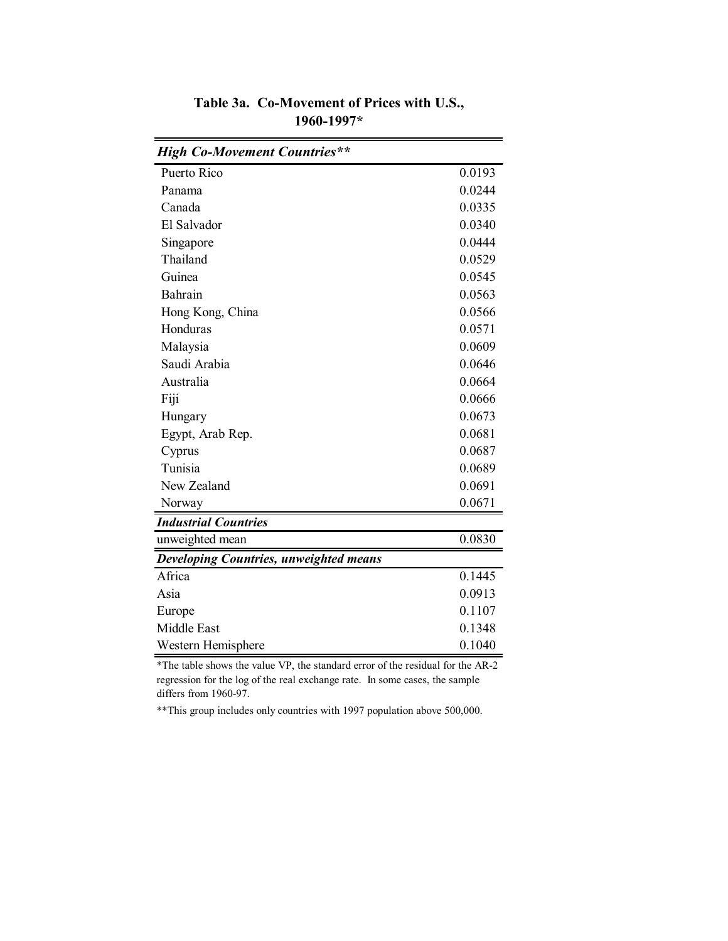| <b>High Co-Movement Countries**</b>           |        |
|-----------------------------------------------|--------|
| Puerto Rico                                   | 0.0193 |
| Panama                                        | 0.0244 |
| Canada                                        | 0.0335 |
| El Salvador                                   | 0.0340 |
| Singapore                                     | 0.0444 |
| Thailand                                      | 0.0529 |
| Guinea                                        | 0.0545 |
| Bahrain                                       | 0.0563 |
| Hong Kong, China                              | 0.0566 |
| Honduras                                      | 0.0571 |
| Malaysia                                      | 0.0609 |
| Saudi Arabia                                  | 0.0646 |
| Australia                                     | 0.0664 |
| Fiji                                          | 0.0666 |
| Hungary                                       | 0.0673 |
| Egypt, Arab Rep.                              | 0.0681 |
| Cyprus                                        | 0.0687 |
| Tunisia                                       | 0.0689 |
| New Zealand                                   | 0.0691 |
| Norway                                        | 0.0671 |
| <b>Industrial Countries</b>                   |        |
| unweighted mean                               | 0.0830 |
| <b>Developing Countries, unweighted means</b> |        |
| Africa                                        | 0.1445 |
| Asia                                          | 0.0913 |
| Europe                                        | 0.1107 |
| Middle East                                   | 0.1348 |
| Western Hemisphere                            | 0.1040 |

**Table 3a. Co-Movement of Prices with U.S., 1960-1997\***

\*The table shows the value VP, the standard error of the residual for the AR-2 regression for the log of the real exchange rate. In some cases, the sample differs from 1960-97.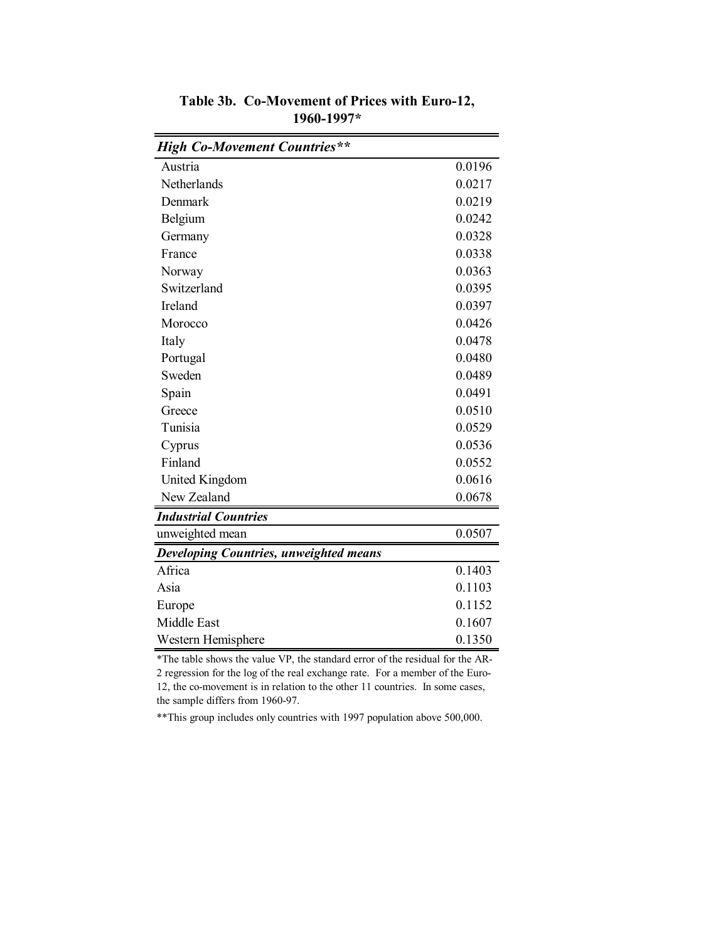| <b>High Co-Movement Countries**</b>           |        |
|-----------------------------------------------|--------|
| Austria                                       | 0.0196 |
| Netherlands                                   | 0.0217 |
| Denmark                                       | 0.0219 |
| Belgium                                       | 0.0242 |
| Germany                                       | 0.0328 |
| France                                        | 0.0338 |
| Norway                                        | 0.0363 |
| Switzerland                                   | 0.0395 |
| Ireland                                       | 0.0397 |
| Morocco                                       | 0.0426 |
| Italy                                         | 0.0478 |
| Portugal                                      | 0.0480 |
| Sweden                                        | 0.0489 |
| Spain                                         | 0.0491 |
| Greece                                        | 0.0510 |
| Tunisia                                       | 0.0529 |
| Cyprus                                        | 0.0536 |
| Finland                                       | 0.0552 |
| United Kingdom                                | 0.0616 |
| New Zealand                                   | 0.0678 |
| <b>Industrial Countries</b>                   |        |
| unweighted mean                               | 0.0507 |
| <b>Developing Countries, unweighted means</b> |        |
| Africa                                        | 0.1403 |
| Asia                                          | 0.1103 |
| Europe                                        | 0.1152 |
| Middle East                                   | 0.1607 |
| Western Hemisphere                            | 0.1350 |

**Table 3b. Co-Movement of Prices with Euro-12, 1960-1997\***

\*The table shows the value VP, the standard error of the residual for the AR-2 regression for the log of the real exchange rate. For a member of the Euro-12, the co-movement is in relation to the other 11 countries. In some cases, the sample differs from 1960-97.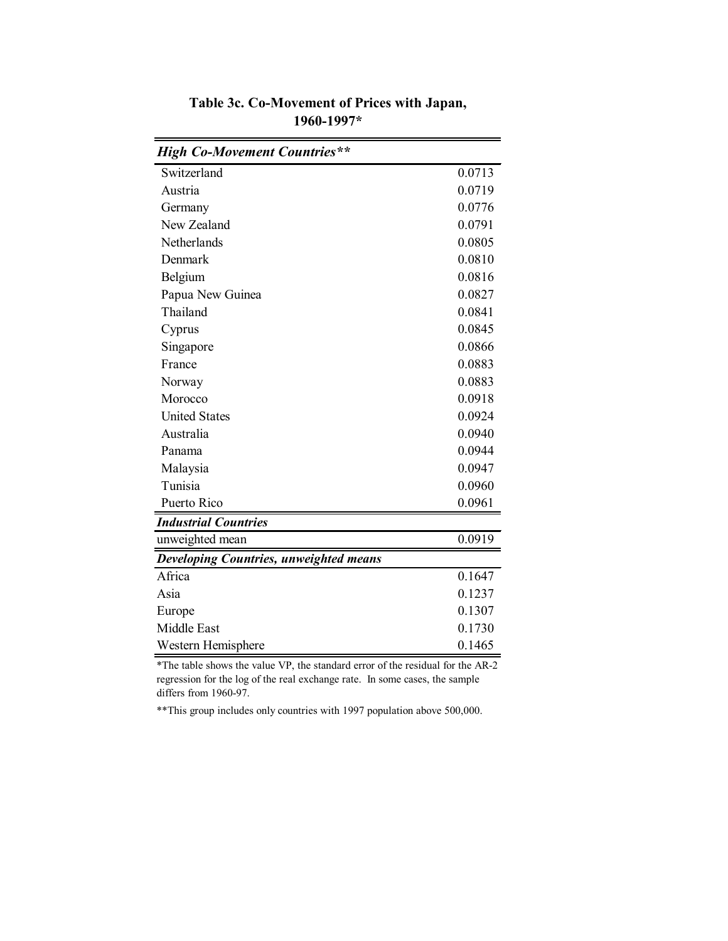| <b>High Co-Movement Countries**</b>           |        |
|-----------------------------------------------|--------|
| Switzerland                                   | 0.0713 |
| Austria                                       | 0.0719 |
| Germany                                       | 0.0776 |
| New Zealand                                   | 0.0791 |
| Netherlands                                   | 0.0805 |
| Denmark                                       | 0.0810 |
| Belgium                                       | 0.0816 |
| Papua New Guinea                              | 0.0827 |
| Thailand                                      | 0.0841 |
| Cyprus                                        | 0.0845 |
| Singapore                                     | 0.0866 |
| France                                        | 0.0883 |
| Norway                                        | 0.0883 |
| Morocco                                       | 0.0918 |
| <b>United States</b>                          | 0.0924 |
| Australia                                     | 0.0940 |
| Panama                                        | 0.0944 |
| Malaysia                                      | 0.0947 |
| Tunisia                                       | 0.0960 |
| Puerto Rico                                   | 0.0961 |
| <b>Industrial Countries</b>                   |        |
| unweighted mean                               | 0.0919 |
| <b>Developing Countries, unweighted means</b> |        |
| Africa                                        | 0.1647 |
| Asia                                          | 0.1237 |
| Europe                                        | 0.1307 |
| Middle East                                   | 0.1730 |
| Western Hemisphere                            | 0.1465 |

**Table 3c. Co-Movement of Prices with Japan, 1960-1997\***

\*The table shows the value VP, the standard error of the residual for the AR-2 regression for the log of the real exchange rate. In some cases, the sample differs from 1960-97.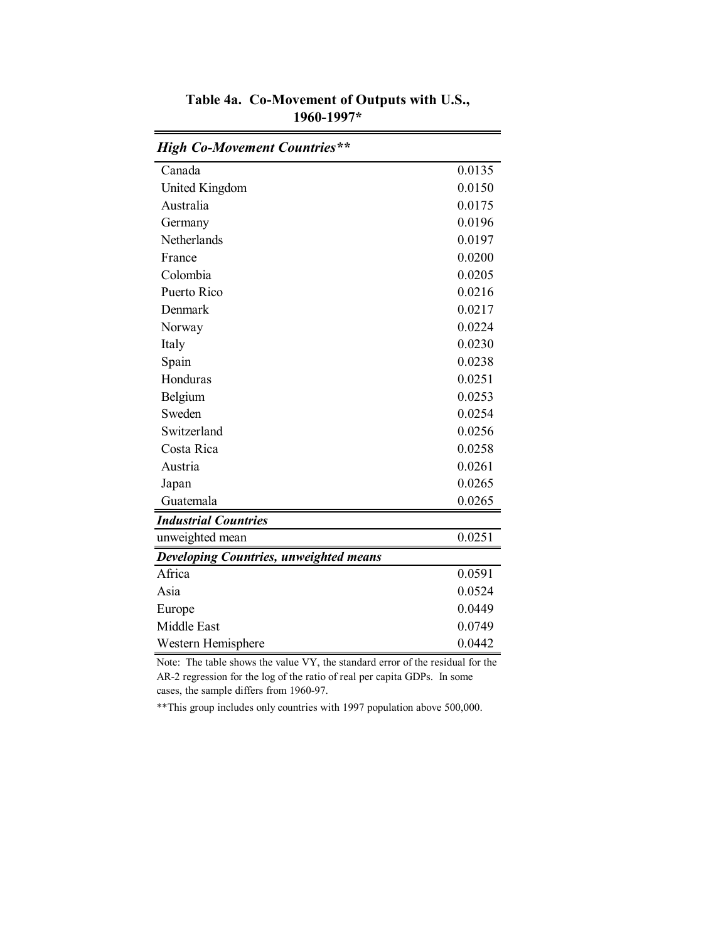| <b>High Co-Movement Countries**</b>           |        |
|-----------------------------------------------|--------|
| Canada                                        | 0.0135 |
| <b>United Kingdom</b>                         | 0.0150 |
| Australia                                     | 0.0175 |
| Germany                                       | 0.0196 |
| Netherlands                                   | 0.0197 |
| France                                        | 0.0200 |
| Colombia                                      | 0.0205 |
| Puerto Rico                                   | 0.0216 |
| Denmark                                       | 0.0217 |
| Norway                                        | 0.0224 |
| Italy                                         | 0.0230 |
| Spain                                         | 0.0238 |
| Honduras                                      | 0.0251 |
| Belgium                                       | 0.0253 |
| Sweden                                        | 0.0254 |
| Switzerland                                   | 0.0256 |
| Costa Rica                                    | 0.0258 |
| Austria                                       | 0.0261 |
| Japan                                         | 0.0265 |
| Guatemala                                     | 0.0265 |
| <b>Industrial Countries</b>                   |        |
| unweighted mean                               | 0.0251 |
| <b>Developing Countries, unweighted means</b> |        |
| Africa                                        | 0.0591 |
| Asia                                          | 0.0524 |
| Europe                                        | 0.0449 |
| Middle East                                   | 0.0749 |
| Western Hemisphere                            | 0.0442 |

**Table 4a. Co-Movement of Outputs with U.S., 1960-1997\***

Note: The table shows the value VY, the standard error of the residual for the AR-2 regression for the log of the ratio of real per capita GDPs. In some cases, the sample differs from 1960-97.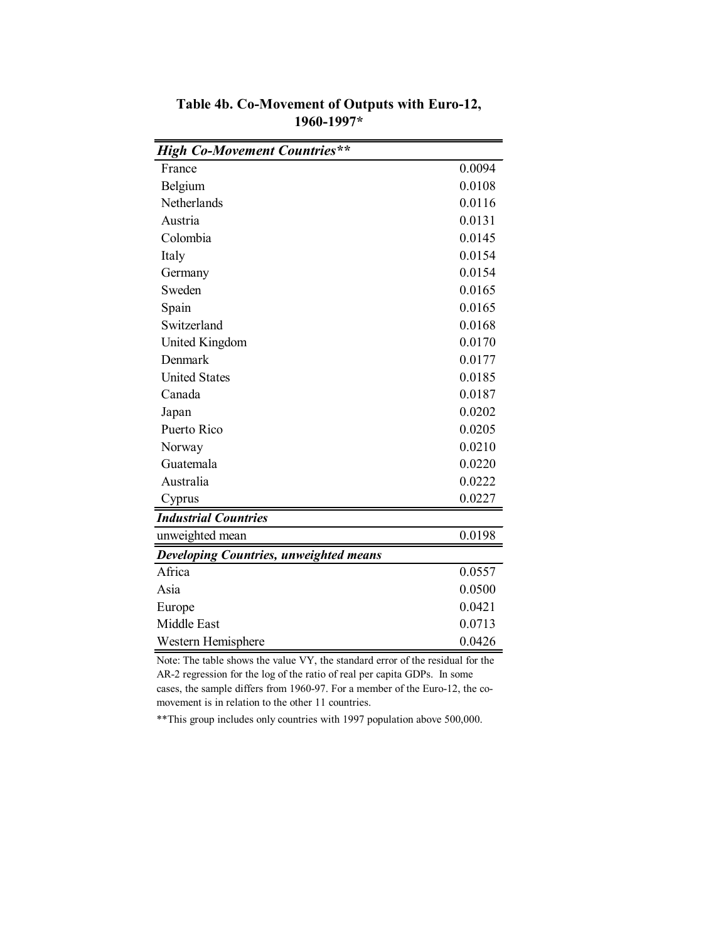| <b>High Co-Movement Countries**</b>           |        |
|-----------------------------------------------|--------|
| France                                        | 0.0094 |
| Belgium                                       | 0.0108 |
| Netherlands                                   | 0.0116 |
| Austria                                       | 0.0131 |
| Colombia                                      | 0.0145 |
| Italy                                         | 0.0154 |
| Germany                                       | 0.0154 |
| Sweden                                        | 0.0165 |
| Spain                                         | 0.0165 |
| Switzerland                                   | 0.0168 |
| <b>United Kingdom</b>                         | 0.0170 |
| Denmark                                       | 0.0177 |
| <b>United States</b>                          | 0.0185 |
| Canada                                        | 0.0187 |
| Japan                                         | 0.0202 |
| Puerto Rico                                   | 0.0205 |
| Norway                                        | 0.0210 |
| Guatemala                                     | 0.0220 |
| Australia                                     | 0.0222 |
| Cyprus                                        | 0.0227 |
| <b>Industrial Countries</b>                   |        |
| unweighted mean                               | 0.0198 |
| <b>Developing Countries, unweighted means</b> |        |
| Africa                                        | 0.0557 |
| Asia                                          | 0.0500 |
| Europe                                        | 0.0421 |
| Middle East                                   | 0.0713 |
| Western Hemisphere                            | 0.0426 |

**Table 4b. Co-Movement of Outputs with Euro-12, 1960-1997\***

Note: The table shows the value VY, the standard error of the residual for the AR-2 regression for the log of the ratio of real per capita GDPs. In some cases, the sample differs from 1960-97. For a member of the Euro-12, the comovement is in relation to the other 11 countries.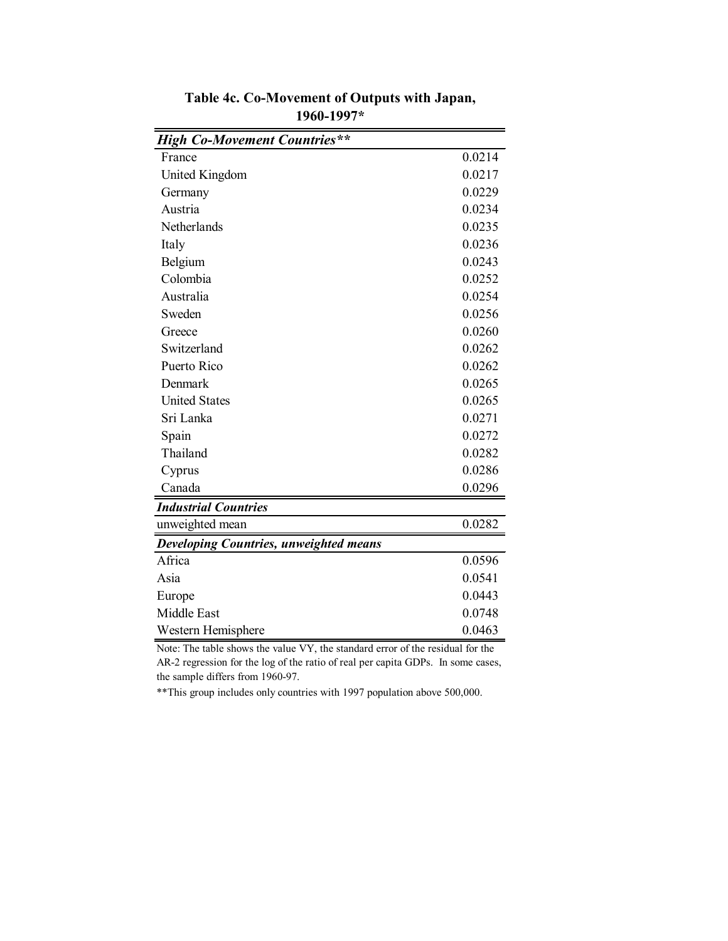| <b>High Co-Movement Countries**</b>           |        |
|-----------------------------------------------|--------|
| France                                        | 0.0214 |
| <b>United Kingdom</b>                         | 0.0217 |
| Germany                                       | 0.0229 |
| Austria                                       | 0.0234 |
| Netherlands                                   | 0.0235 |
| Italy                                         | 0.0236 |
| Belgium                                       | 0.0243 |
| Colombia                                      | 0.0252 |
| Australia                                     | 0.0254 |
| Sweden                                        | 0.0256 |
| Greece                                        | 0.0260 |
| Switzerland                                   | 0.0262 |
| Puerto Rico                                   | 0.0262 |
| Denmark                                       | 0.0265 |
| <b>United States</b>                          | 0.0265 |
| Sri Lanka                                     | 0.0271 |
| Spain                                         | 0.0272 |
| Thailand                                      | 0.0282 |
| Cyprus                                        | 0.0286 |
| Canada                                        | 0.0296 |
| <b>Industrial Countries</b>                   |        |
| unweighted mean                               | 0.0282 |
| <b>Developing Countries, unweighted means</b> |        |
| Africa                                        | 0.0596 |
| Asia                                          | 0.0541 |
| Europe                                        | 0.0443 |
| Middle East                                   | 0.0748 |
| Western Hemisphere                            | 0.0463 |

**Table 4c. Co-Movement of Outputs with Japan, 1960-1997\***

Note: The table shows the value VY, the standard error of the residual for the AR-2 regression for the log of the ratio of real per capita GDPs. In some cases, the sample differs from 1960-97.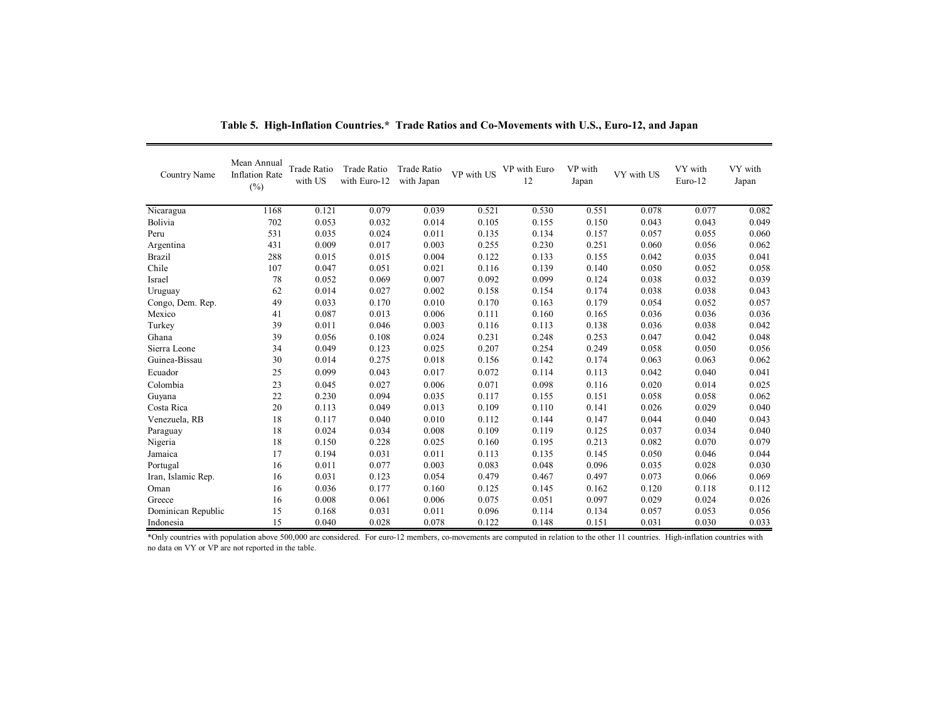| Country Name                                                                                                                                                                      | Mean Annual<br><b>Inflation Rate</b><br>$(\% )$ | Trade Ratio<br>with US | Trade Ratio<br>with Euro-12 | Trade Ratio<br>with Japan | VP with US | VP with Euro<br>12 | VP with<br>Japan | VY with US | VY with<br>Euro-12 | VY with<br>Japan |
|-----------------------------------------------------------------------------------------------------------------------------------------------------------------------------------|-------------------------------------------------|------------------------|-----------------------------|---------------------------|------------|--------------------|------------------|------------|--------------------|------------------|
| Nicaragua                                                                                                                                                                         | 1168                                            | 0.121                  | 0.079                       | 0.039                     | 0.521      | 0.530              | 0.551            | 0.078      | 0.077              | 0.082            |
| Bolivia                                                                                                                                                                           | 702                                             | 0.053                  | 0.032                       | 0.014                     | 0.105      | 0.155              | 0.150            | 0.043      | 0.043              | 0.049            |
| Peru                                                                                                                                                                              | 531                                             | 0.035                  | 0.024                       | 0.011                     | 0.135      | 0.134              | 0.157            | 0.057      | 0.055              | 0.060            |
| Argentina                                                                                                                                                                         | 431                                             | 0.009                  | 0.017                       | 0.003                     | 0.255      | 0.230              | 0.251            | 0.060      | 0.056              | 0.062            |
| <b>Brazil</b>                                                                                                                                                                     | 288                                             | 0.015                  | 0.015                       | 0.004                     | 0.122      | 0.133              | 0.155            | 0.042      | 0.035              | 0.041            |
| Chile                                                                                                                                                                             | 107                                             | 0.047                  | 0.051                       | 0.021                     | 0.116      | 0.139              | 0.140            | 0.050      | 0.052              | 0.058            |
| Israel                                                                                                                                                                            | 78                                              | 0.052                  | 0.069                       | 0.007                     | 0.092      | 0.099              | 0.124            | 0.038      | 0.032              | 0.039            |
| Uruguay                                                                                                                                                                           | 62                                              | 0.014                  | 0.027                       | 0.002                     | 0.158      | 0.154              | 0.174            | 0.038      | 0.038              | 0.043            |
| Congo, Dem. Rep.                                                                                                                                                                  | 49                                              | 0.033                  | 0.170                       | 0.010                     | 0.170      | 0.163              | 0.179            | 0.054      | 0.052              | 0.057            |
| Mexico                                                                                                                                                                            | 41                                              | 0.087                  | 0.013                       | 0.006                     | 0.111      | 0.160              | 0.165            | 0.036      | 0.036              | 0.036            |
| Turkey                                                                                                                                                                            | 39                                              | 0.011                  | 0.046                       | 0.003                     | 0.116      | 0.113              | 0.138            | 0.036      | 0.038              | 0.042            |
| Ghana                                                                                                                                                                             | 39                                              | 0.056                  | 0.108                       | 0.024                     | 0.231      | 0.248              | 0.253            | 0.047      | 0.042              | 0.048            |
| Sierra Leone                                                                                                                                                                      | 34                                              | 0.049                  | 0.123                       | 0.025                     | 0.207      | 0.254              | 0.249            | 0.058      | 0.050              | 0.056            |
| Guinea-Bissau                                                                                                                                                                     | 30                                              | 0.014                  | 0.275                       | 0.018                     | 0.156      | 0.142              | 0.174            | 0.063      | 0.063              | 0.062            |
| Ecuador                                                                                                                                                                           | 25                                              | 0.099                  | 0.043                       | 0.017                     | 0.072      | 0.114              | 0.113            | 0.042      | 0.040              | 0.041            |
| Colombia                                                                                                                                                                          | 23                                              | 0.045                  | 0.027                       | 0.006                     | 0.071      | 0.098              | 0.116            | 0.020      | 0.014              | 0.025            |
| Guyana                                                                                                                                                                            | 22                                              | 0.230                  | 0.094                       | 0.035                     | 0.117      | 0.155              | 0.151            | 0.058      | 0.058              | 0.062            |
| Costa Rica                                                                                                                                                                        | 20                                              | 0.113                  | 0.049                       | 0.013                     | 0.109      | 0.110              | 0.141            | 0.026      | 0.029              | 0.040            |
| Venezuela, RB                                                                                                                                                                     | 18                                              | 0.117                  | 0.040                       | 0.010                     | 0.112      | 0.144              | 0.147            | 0.044      | 0.040              | 0.043            |
| Paraguay                                                                                                                                                                          | 18                                              | 0.024                  | 0.034                       | 0.008                     | 0.109      | 0.119              | 0.125            | 0.037      | 0.034              | 0.040            |
| Nigeria                                                                                                                                                                           | 18                                              | 0.150                  | 0.228                       | 0.025                     | 0.160      | 0.195              | 0.213            | 0.082      | 0.070              | 0.079            |
| Jamaica                                                                                                                                                                           | 17                                              | 0.194                  | 0.031                       | 0.011                     | 0.113      | 0.135              | 0.145            | 0.050      | 0.046              | 0.044            |
| Portugal                                                                                                                                                                          | 16                                              | 0.011                  | 0.077                       | 0.003                     | 0.083      | 0.048              | 0.096            | 0.035      | 0.028              | 0.030            |
| Iran, Islamic Rep.                                                                                                                                                                | 16                                              | 0.031                  | 0.123                       | 0.054                     | 0.479      | 0.467              | 0.497            | 0.073      | 0.066              | 0.069            |
| Oman                                                                                                                                                                              | 16                                              | 0.036                  | 0.177                       | 0.160                     | 0.125      | 0.145              | 0.162            | 0.120      | 0.118              | 0.112            |
| Greece                                                                                                                                                                            | 16                                              | 0.008                  | 0.061                       | 0.006                     | 0.075      | 0.051              | 0.097            | 0.029      | 0.024              | 0.026            |
| Dominican Republic                                                                                                                                                                | 15                                              | 0.168                  | 0.031                       | 0.011                     | 0.096      | 0.114              | 0.134            | 0.057      | 0.053              | 0.056            |
| Indonesia                                                                                                                                                                         | 15                                              | 0.040                  | 0.028                       | 0.078                     | 0.122      | 0.148              | 0.151            | 0.031      | 0.030              | 0.033            |
| *Only countries with population above 500,000 are considered. For euro-12 members, co-movements are computed in relation to the other 11 countries. High-inflation countries with |                                                 |                        |                             |                           |            |                    |                  |            |                    |                  |

|  |  | Table 5.  High-Inflation Countries.*  Trade Ratios and Co-Movements with U.S., Euro-12, and Japan |  |  |
|--|--|---------------------------------------------------------------------------------------------------|--|--|
|--|--|---------------------------------------------------------------------------------------------------|--|--|

no data on VY or VP are not reported in the table.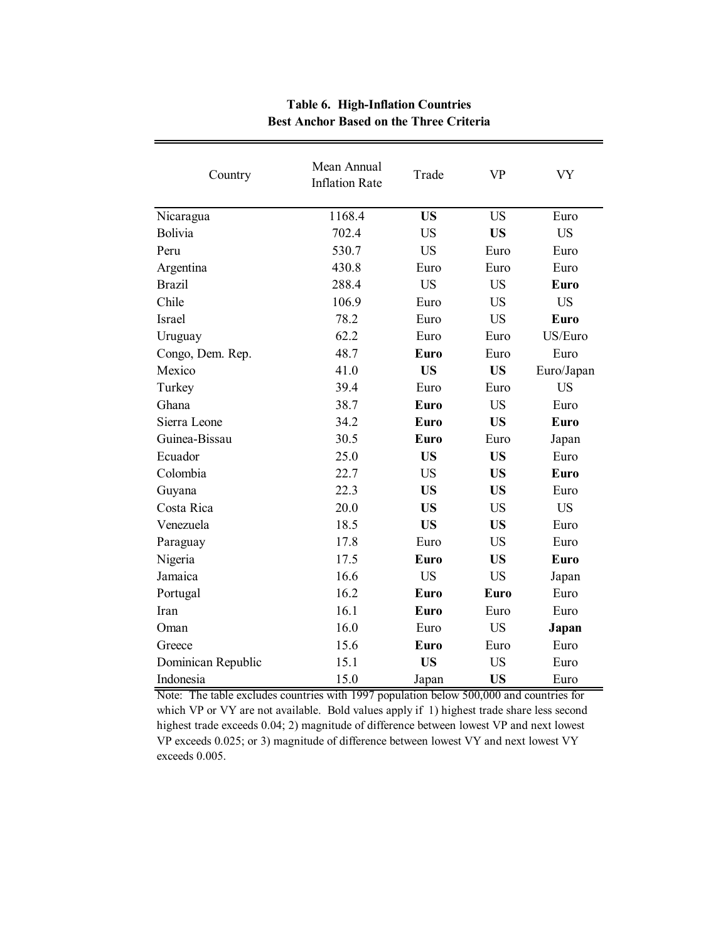| Country            | Mean Annual<br><b>Inflation Rate</b> | Trade       | <b>VP</b> | <b>VY</b>   |  |
|--------------------|--------------------------------------|-------------|-----------|-------------|--|
| Nicaragua          | 1168.4                               | <b>US</b>   | <b>US</b> | Euro        |  |
| Bolivia            | 702.4                                | <b>US</b>   | <b>US</b> | <b>US</b>   |  |
| Peru               | 530.7                                | <b>US</b>   | Euro      | Euro        |  |
| Argentina          | 430.8                                | Euro        | Euro      | Euro        |  |
| <b>Brazil</b>      | 288.4                                | <b>US</b>   | <b>US</b> | <b>Euro</b> |  |
| Chile              | 106.9                                | Euro        | <b>US</b> | <b>US</b>   |  |
| Israel             | 78.2                                 | Euro        | <b>US</b> | <b>Euro</b> |  |
| Uruguay            | 62.2                                 | Euro        | Euro      | US/Euro     |  |
| Congo, Dem. Rep.   | 48.7                                 | <b>Euro</b> | Euro      | Euro        |  |
| Mexico             | 41.0                                 | <b>US</b>   | <b>US</b> | Euro/Japan  |  |
| Turkey             | 39.4                                 | Euro        | Euro      | <b>US</b>   |  |
| Ghana              | 38.7                                 | <b>Euro</b> | <b>US</b> | Euro        |  |
| Sierra Leone       | 34.2                                 | <b>Euro</b> | <b>US</b> | Euro        |  |
| Guinea-Bissau      | 30.5                                 | <b>Euro</b> | Euro      | Japan       |  |
| Ecuador            | 25.0                                 | <b>US</b>   | <b>US</b> | Euro        |  |
| Colombia           | 22.7                                 | <b>US</b>   | <b>US</b> | <b>Euro</b> |  |
| Guyana             | 22.3                                 | <b>US</b>   | <b>US</b> | Euro        |  |
| Costa Rica         | 20.0                                 | <b>US</b>   | <b>US</b> | <b>US</b>   |  |
| Venezuela          | 18.5                                 | <b>US</b>   | <b>US</b> | Euro        |  |
| Paraguay           | 17.8                                 | Euro        | <b>US</b> | Euro        |  |
| Nigeria            | 17.5                                 | <b>Euro</b> | <b>US</b> | <b>Euro</b> |  |
| Jamaica            | 16.6                                 | <b>US</b>   | <b>US</b> | Japan       |  |
| Portugal           | 16.2                                 | <b>Euro</b> | Euro      | Euro        |  |
| Iran               | 16.1                                 | <b>Euro</b> | Euro      | Euro        |  |
| Oman               | 16.0                                 | Euro        | <b>US</b> | Japan       |  |
| Greece             | 15.6                                 | <b>Euro</b> | Euro      | Euro        |  |
| Dominican Republic | 15.1                                 | <b>US</b>   | <b>US</b> | Euro        |  |
| Indonesia          | 15.0                                 | Japan       | <b>US</b> | Euro        |  |

# **Table 6. High-Inflation Countries Best Anchor Based on the Three Criteria**

Note: The table excludes countries with 1997 population below 500,000 and countries for which VP or VY are not available. Bold values apply if 1) highest trade share less second highest trade exceeds 0.04; 2) magnitude of difference between lowest VP and next lowest VP exceeds 0.025; or 3) magnitude of difference between lowest VY and next lowest VY exceeds 0.005.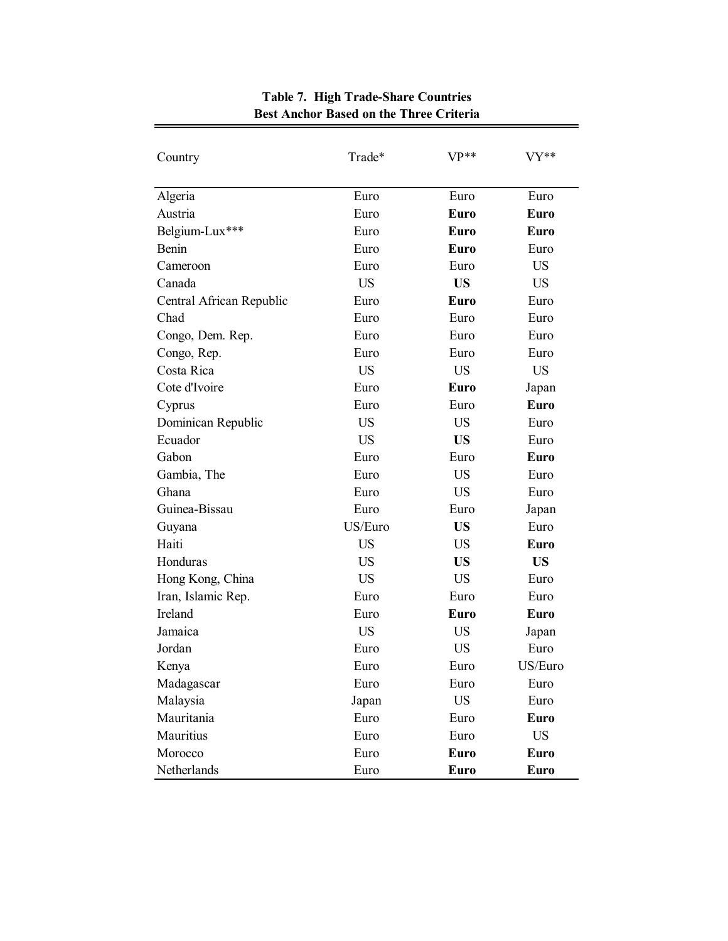| Country                  | Trade*    | $VP**$      | $VY^{**}$   |
|--------------------------|-----------|-------------|-------------|
| Algeria                  | Euro      | Euro        | Euro        |
| Austria                  | Euro      | <b>Euro</b> | <b>Euro</b> |
| Belgium-Lux***           | Euro      | <b>Euro</b> | <b>Euro</b> |
| Benin                    | Euro      | <b>Euro</b> | Euro        |
| Cameroon                 | Euro      | Euro        | <b>US</b>   |
| Canada                   | <b>US</b> | <b>US</b>   | <b>US</b>   |
| Central African Republic | Euro      | Euro        | Euro        |
| Chad                     | Euro      | Euro        | Euro        |
| Congo, Dem. Rep.         | Euro      | Euro        | Euro        |
| Congo, Rep.              | Euro      | Euro        | Euro        |
| Costa Rica               | <b>US</b> | <b>US</b>   | <b>US</b>   |
| Cote d'Ivoire            | Euro      | <b>Euro</b> | Japan       |
| Cyprus                   | Euro      | Euro        | <b>Euro</b> |
| Dominican Republic       | <b>US</b> | <b>US</b>   | Euro        |
| Ecuador                  | <b>US</b> | <b>US</b>   | Euro        |
| Gabon                    | Euro      | Euro        | <b>Euro</b> |
| Gambia, The              | Euro      | <b>US</b>   | Euro        |
| Ghana                    | Euro      | <b>US</b>   | Euro        |
| Guinea-Bissau            | Euro      | Euro        | Japan       |
| Guyana                   | US/Euro   | <b>US</b>   | Euro        |
| Haiti                    | <b>US</b> | US          | <b>Euro</b> |
| Honduras                 | <b>US</b> | <b>US</b>   | <b>US</b>   |
| Hong Kong, China         | <b>US</b> | <b>US</b>   | Euro        |
| Iran, Islamic Rep.       | Euro      | Euro        | Euro        |
| Ireland                  | Euro      | <b>Euro</b> | <b>Euro</b> |
| Jamaica                  | <b>US</b> | US          | Japan       |
| Jordan                   | Euro      | <b>US</b>   | Euro        |
| Kenya                    | Euro      | Euro        | US/Euro     |
| Madagascar               | Euro      | Euro        | Euro        |
| Malaysia                 | Japan     | <b>US</b>   | Euro        |
| Mauritania               | Euro      | Euro        | <b>Euro</b> |
| Mauritius                | Euro      | Euro        | <b>US</b>   |
| Morocco                  | Euro      | <b>Euro</b> | <b>Euro</b> |
| Netherlands              | Euro      | <b>Euro</b> | <b>Euro</b> |

# **Table 7. High Trade-Share Countries Best Anchor Based on the Three Criteria**

 $\overline{\phantom{0}}$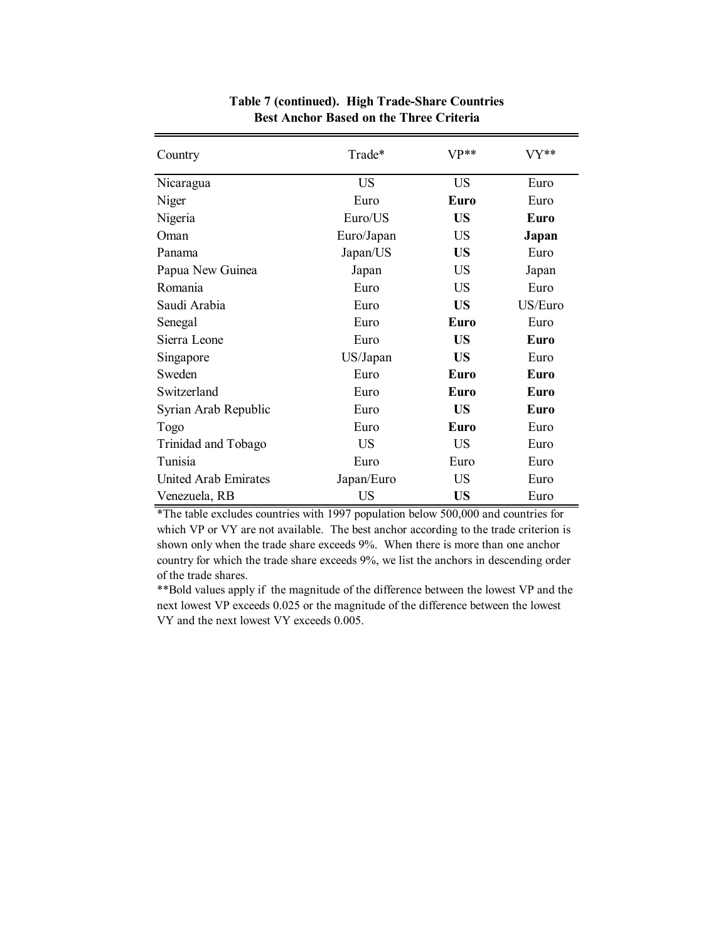| Country              | Trade*     | $VP**$      | VY**        |
|----------------------|------------|-------------|-------------|
| Nicaragua            | <b>US</b>  | <b>US</b>   | Euro        |
| Niger                | Euro       | <b>Euro</b> | Euro        |
| Nigeria              | Euro/US    | <b>US</b>   | Euro        |
| Oman                 | Euro/Japan | <b>US</b>   | Japan       |
| Panama               | Japan/US   | <b>US</b>   | Euro        |
| Papua New Guinea     | Japan      | US          | Japan       |
| Romania              | Euro       | US          | Euro        |
| Saudi Arabia         | Euro       | <b>US</b>   | US/Euro     |
| Senegal              | Euro       | <b>Euro</b> | Euro        |
| Sierra Leone         | Euro       | <b>US</b>   | Euro        |
| Singapore            | US/Japan   | <b>US</b>   | Euro        |
| Sweden               | Euro       | Euro        | <b>Euro</b> |
| Switzerland          | Euro       | Euro        | Euro        |
| Syrian Arab Republic | Euro       | <b>US</b>   | Euro        |
| Togo                 | Euro       | <b>Euro</b> | Euro        |
| Trinidad and Tobago  | US         | US          | Euro        |
| Tunisia              | Euro       | Euro        | Euro        |
| United Arab Emirates | Japan/Euro | US          | Euro        |
| Venezuela, RB        | US         | <b>US</b>   | Euro        |

# **Table 7 (continued). High Trade-Share Countries Best Anchor Based on the Three Criteria**

\*The table excludes countries with 1997 population below 500,000 and countries for which VP or VY are not available. The best anchor according to the trade criterion is shown only when the trade share exceeds 9%. When there is more than one anchor country for which the trade share exceeds 9%, we list the anchors in descending order of the trade shares.

\*\*Bold values apply if the magnitude of the difference between the lowest VP and the next lowest VP exceeds 0.025 or the magnitude of the difference between the lowest VY and the next lowest VY exceeds 0.005.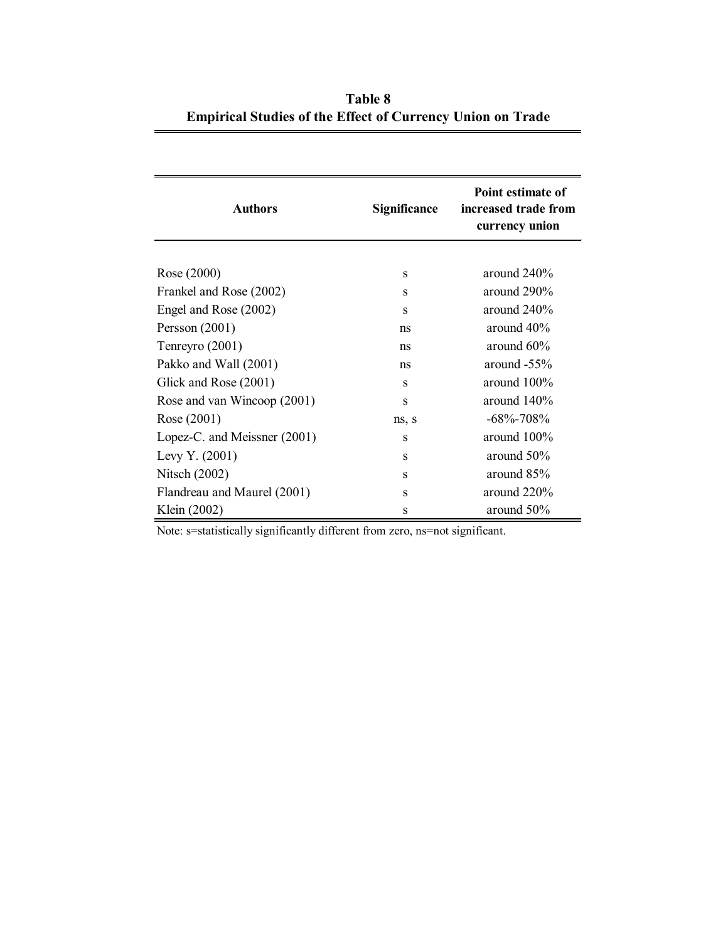| <b>Authors</b>               | <b>Significance</b> | Point estimate of<br>increased trade from<br>currency union |
|------------------------------|---------------------|-------------------------------------------------------------|
|                              |                     |                                                             |
| Rose (2000)                  | S                   | around $240\%$                                              |
| Frankel and Rose (2002)      | S                   | around 290%                                                 |
| Engel and Rose (2002)        | S                   | around 240%                                                 |
| Persson $(2001)$             | ns                  | around $40\%$                                               |
| Tenreyro (2001)              | ns                  | around 60%                                                  |
| Pakko and Wall (2001)        | ns                  | around $-55%$                                               |
| Glick and Rose (2001)        | S                   | around 100%                                                 |
| Rose and van Wincoop (2001)  | S                   | around 140%                                                 |
| Rose (2001)                  | ns, s               | $-68\% - 708\%$                                             |
| Lopez-C. and Meissner (2001) | S                   | around $100\%$                                              |
| Levy Y. $(2001)$             | S                   | around $50\%$                                               |
| Nitsch (2002)                | S                   | around $85%$                                                |
| Flandreau and Maurel (2001)  | S                   | around $220%$                                               |
| Klein (2002)                 | S                   | around $50\%$                                               |

**Table 8 Empirical Studies of the Effect of Currency Union on Trade**

.

Note: s=statistically significantly different from zero, ns=not significant.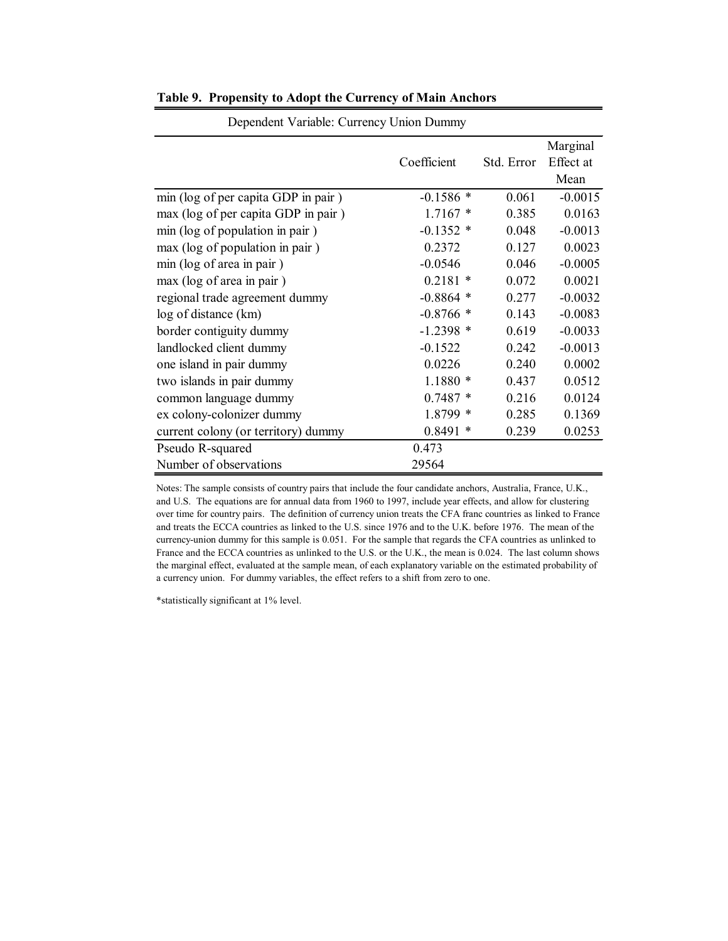|                                     |             |            | Marginal  |  |
|-------------------------------------|-------------|------------|-----------|--|
|                                     | Coefficient | Std. Error | Effect at |  |
|                                     |             |            | Mean      |  |
| min (log of per capita GDP in pair) | $-0.1586*$  | 0.061      | $-0.0015$ |  |
| max (log of per capita GDP in pair) | $1.7167*$   | 0.385      | 0.0163    |  |
| min (log of population in pair)     | $-0.1352$ * | 0.048      | $-0.0013$ |  |
| max (log of population in pair)     | 0.2372      | 0.127      | 0.0023    |  |
| min (log of area in pair)           | $-0.0546$   | 0.046      | $-0.0005$ |  |
| max (log of area in pair)           | $0.2181$ *  | 0.072      | 0.0021    |  |
| regional trade agreement dummy      | $-0.8864$ * | 0.277      | $-0.0032$ |  |
| log of distance (km)                | $-0.8766*$  | 0.143      | $-0.0083$ |  |
| border contiguity dummy             | $-1.2398*$  | 0.619      | $-0.0033$ |  |
| landlocked client dummy             | $-0.1522$   | 0.242      | $-0.0013$ |  |
| one island in pair dummy            | 0.0226      | 0.240      | 0.0002    |  |
| two islands in pair dummy           | $1.1880*$   | 0.437      | 0.0512    |  |
| common language dummy               | $0.7487*$   | 0.216      | 0.0124    |  |
| ex colony-colonizer dummy           | $1.8799*$   | 0.285      | 0.1369    |  |
| current colony (or territory) dummy | $0.8491*$   | 0.239      | 0.0253    |  |
| Pseudo R-squared                    | 0.473       |            |           |  |
| Number of observations              | 29564       |            |           |  |

### **Table 9. Propensity to Adopt the Currency of Main Anchors**

Dependent Variable: Currency Union Dummy

Notes: The sample consists of country pairs that include the four candidate anchors, Australia, France, U.K., and U.S. The equations are for annual data from 1960 to 1997, include year effects, and allow for clustering over time for country pairs. The definition of currency union treats the CFA franc countries as linked to France and treats the ECCA countries as linked to the U.S. since 1976 and to the U.K. before 1976. The mean of the currency-union dummy for this sample is 0.051. For the sample that regards the CFA countries as unlinked to France and the ECCA countries as unlinked to the U.S. or the U.K., the mean is 0.024. The last column shows the marginal effect, evaluated at the sample mean, of each explanatory variable on the estimated probability of a currency union. For dummy variables, the effect refers to a shift from zero to one.

\*statistically significant at 1% level.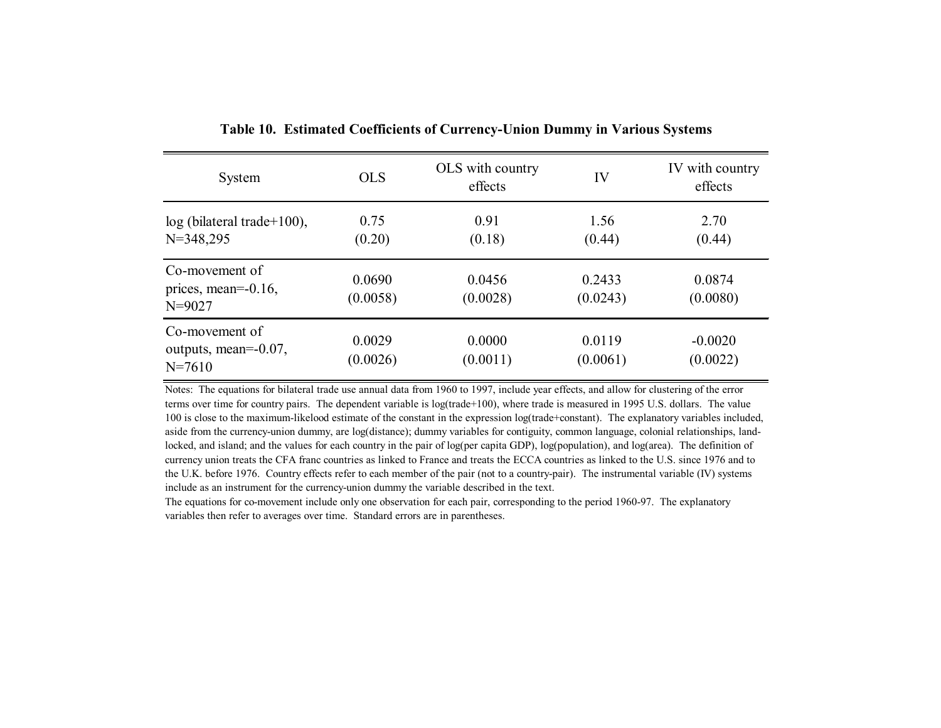| System                                                  | <b>OLS</b>         | OLS with country<br>effects | IV                 | IV with country<br>effects |
|---------------------------------------------------------|--------------------|-----------------------------|--------------------|----------------------------|
| $log$ (bilateral trade+100),<br>$N = 348,295$           | 0.75<br>(0.20)     | 0.91<br>(0.18)              | 1.56<br>(0.44)     | 2.70<br>(0.44)             |
| Co-movement of<br>prices, mean= $-0.16$ ,<br>$N = 9027$ | 0.0690<br>(0.0058) | 0.0456<br>(0.0028)          | 0.2433<br>(0.0243) | 0.0874<br>(0.0080)         |
| Co-movement of<br>outputs, mean=-0.07,<br>$N = 7610$    | 0.0029<br>(0.0026) | 0.0000<br>(0.0011)          | 0.0119<br>(0.0061) | $-0.0020$<br>(0.0022)      |

**Table 10. Estimated Coefficients of Currency-Union Dummy in Various Systems**

Notes: The equations for bilateral trade use annual data from 1960 to 1997, include year effects, and allow for clustering of the error terms over time for country pairs. The dependent variable is log(trade+100), where trade is measured in 1995 U.S. dollars. The value 100 is close to the maximum-likelood estimate of the constant in the expression log(trade+constant). The explanatory variables included, aside from the currency-union dummy, are log(distance); dummy variables for contiguity, common language, colonial relationships, landlocked, and island; and the values for each country in the pair of log(per capita GDP), log(population), and log(area). The definition of currency union treats the CFA franc countries as linked to France and treats the ECCA countries as linked to the U.S. since 1976 and to the U.K. before 1976. Country effects refer to each member of the pair (not to a country-pair). The instrumental variable (IV) systems include as an instrument for the currency-union dummy the variable described in the text.

The equations for co-movement include only one observation for each pair, corresponding to the period 1960-97. The explanatory variables then refer to averages over time. Standard errors are in parentheses.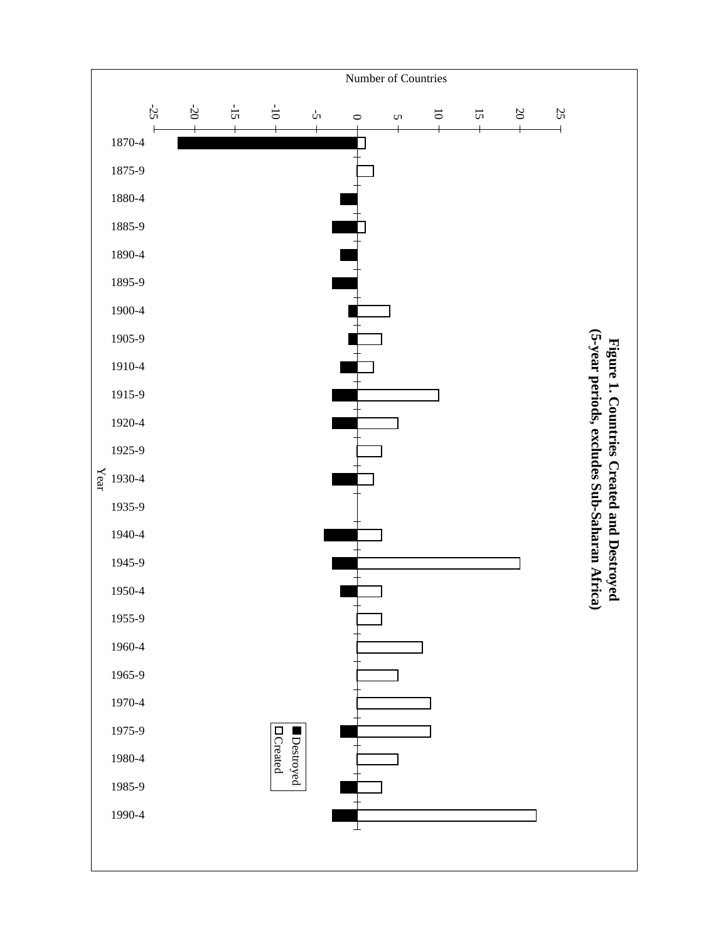